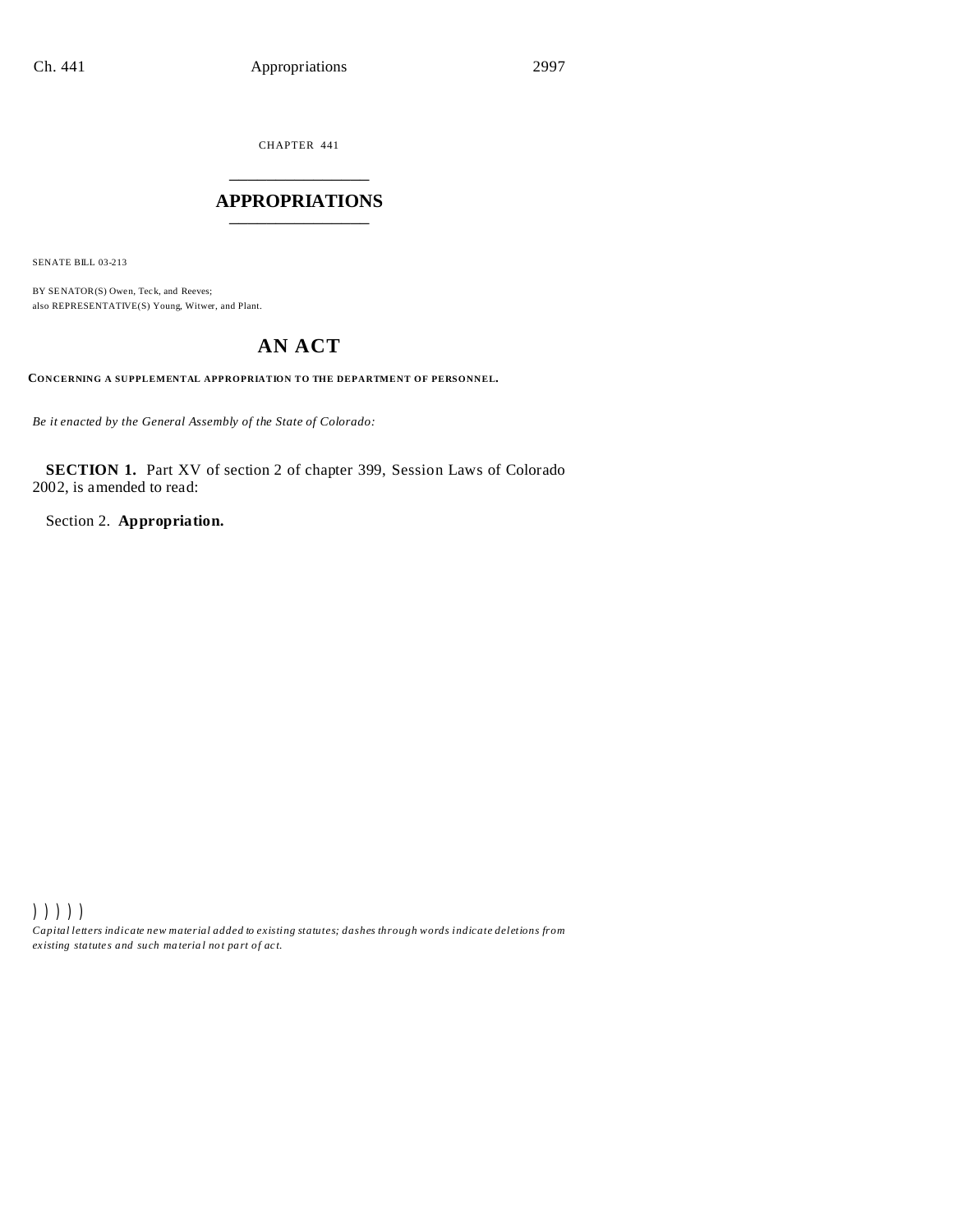CHAPTER 441 \_\_\_\_\_\_\_\_\_\_\_\_\_\_\_

## **APPROPRIATIONS** \_\_\_\_\_\_\_\_\_\_\_\_\_\_\_

SENATE BILL 03-213

BY SENATOR(S) Owen, Teck, and Reeves; also REPRESENTATIVE(S) Young, Witwer, and Plant.

# **AN ACT**

**CONCERNING A SUPPLEMENTAL APPROPRIATION TO THE DEPARTMENT OF PERSONNEL.**

*Be it enacted by the General Assembly of the State of Colorado:*

**SECTION 1.** Part XV of section 2 of chapter 399, Session Laws of Colorado 2002, is amended to read:

Section 2. **Appropriation.**

))))) *Capital letters indicate new material added to existing statutes; dashes through words indicate deletions from ex isting statute s and such ma teria l no t pa rt of ac t.*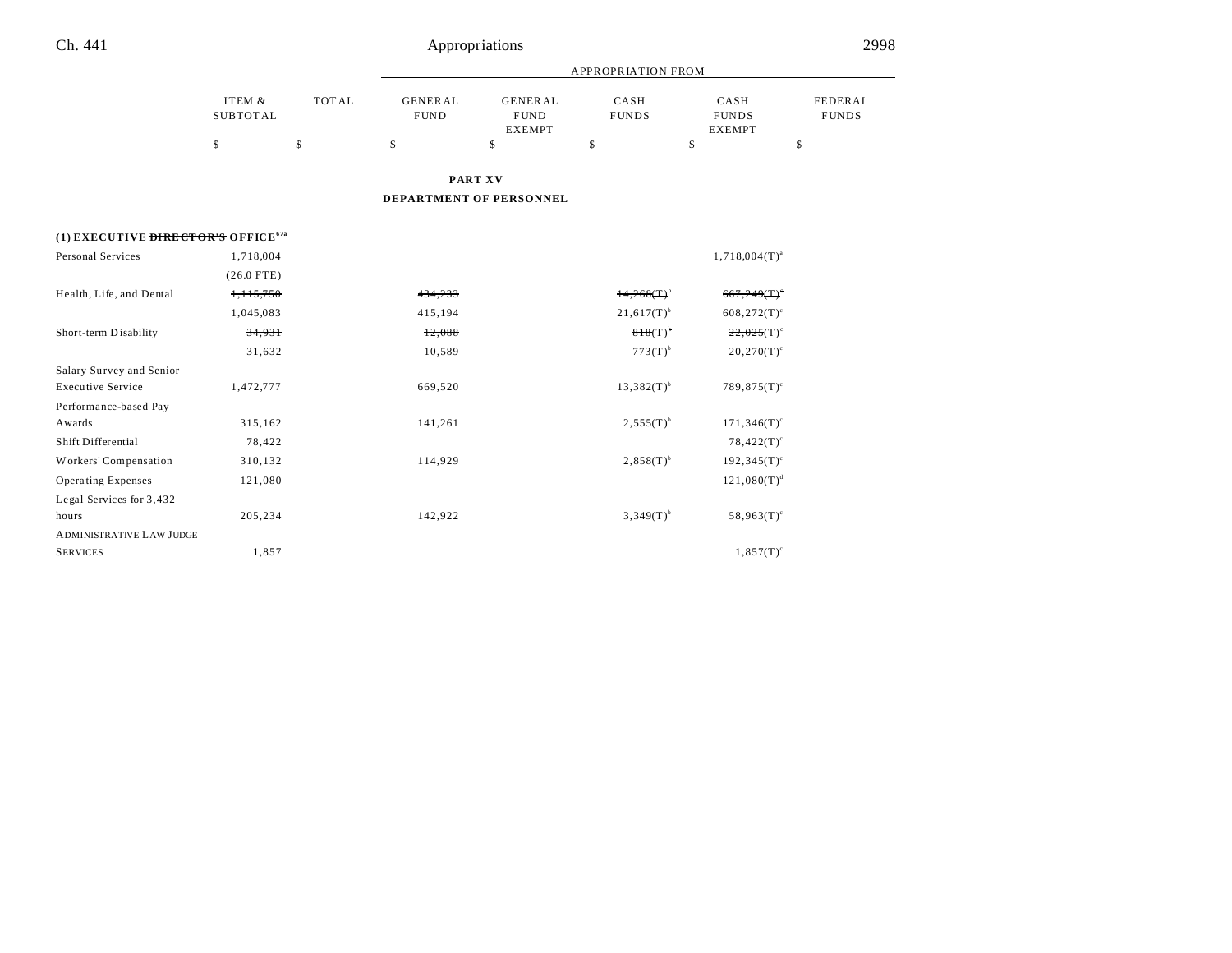÷,

|                                                |                           |              | <b>APPROPRIATION FROM</b>     |                                                |                          |                                       |                         |
|------------------------------------------------|---------------------------|--------------|-------------------------------|------------------------------------------------|--------------------------|---------------------------------------|-------------------------|
|                                                | ITEM &<br><b>SUBTOTAL</b> | <b>TOTAL</b> | <b>GENERAL</b><br><b>FUND</b> | <b>GENERAL</b><br><b>FUND</b><br><b>EXEMPT</b> | CASH<br><b>FUNDS</b>     | CASH<br><b>FUNDS</b><br><b>EXEMPT</b> | FEDERAL<br><b>FUNDS</b> |
|                                                | \$                        | \$           | \$                            | \$                                             | \$                       | \$                                    | \$                      |
|                                                |                           |              |                               | <b>PART XV</b>                                 |                          |                                       |                         |
|                                                |                           |              |                               | DEPARTMENT OF PERSONNEL                        |                          |                                       |                         |
| (1) EXECUTIVE DIRECTOR'S OFFICE <sup>67a</sup> |                           |              |                               |                                                |                          |                                       |                         |
| Personal Services                              | 1,718,004                 |              |                               |                                                |                          | $1,718,004(T)^{a}$                    |                         |
|                                                | $(26.0$ FTE)              |              |                               |                                                |                          |                                       |                         |
| Health, Life, and Dental                       | 1,115,750                 |              | 434,233                       |                                                | 14,268(T)                | 667,249(T)                            |                         |
|                                                | 1,045,083                 |              | 415,194                       |                                                | $21,617(T)$ <sup>b</sup> | $608,272(T)^c$                        |                         |
| Short-term Disability                          | 34,931                    |              | 12,088                        |                                                | $818(T)^{6}$             | 22,025(T)                             |                         |
|                                                | 31,632                    |              | 10,589                        |                                                | $773(T)^b$               | $20,270(T)^c$                         |                         |
| Salary Survey and Senior                       |                           |              |                               |                                                |                          |                                       |                         |
| <b>Executive Service</b>                       | 1,472,777                 |              | 669,520                       |                                                | $13,382(T)^{b}$          | $789,875(T)$ <sup>c</sup>             |                         |
| Performance-based Pay                          |                           |              |                               |                                                |                          |                                       |                         |
| Awards                                         | 315,162                   |              | 141,261                       |                                                | $2,555(T)^{b}$           | $171,346(T)$ <sup>c</sup>             |                         |
| Shift Differential                             | 78,422                    |              |                               |                                                |                          | $78,422(T)^c$                         |                         |
| Workers' Compensation                          | 310,132                   |              | 114,929                       |                                                | $2,858(T)^{b}$           | $192,345(T)^c$                        |                         |
| <b>Operating Expenses</b>                      | 121,080                   |              |                               |                                                |                          | $121,080(T)^d$                        |                         |
| Legal Services for 3,432                       |                           |              |                               |                                                |                          |                                       |                         |
| hours                                          | 205,234                   |              | 142,922                       |                                                | $3,349(T)^{b}$           | $58,963(T)^c$                         |                         |
| <b>ADMINISTRATIVE LAW JUDGE</b>                |                           |              |                               |                                                |                          |                                       |                         |
| <b>SERVICES</b>                                | 1,857                     |              |                               |                                                |                          | $1,857(T)^c$                          |                         |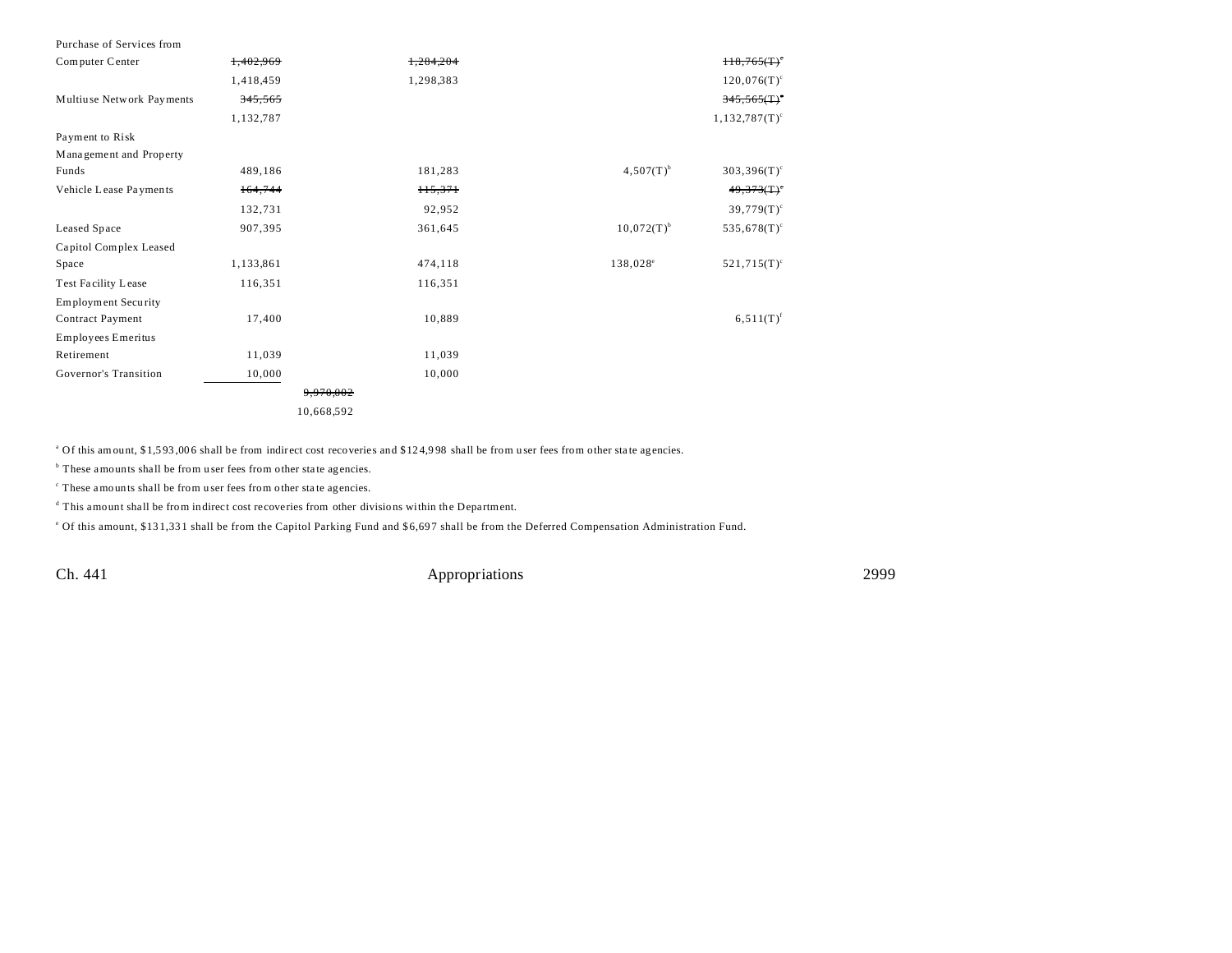| Purchase of Services from  |                      |           |                      |                          |
|----------------------------|----------------------|-----------|----------------------|--------------------------|
| Computer Center            | 1,402,969            | 1.284.204 |                      | H8,765(T)                |
|                            | 1,418,459            | 1,298,383 |                      | $120,076(T)^c$           |
| Multiuse Network Payments  | 345,565              |           |                      | $345,565($ T $)^{\circ}$ |
|                            | 1,132,787            |           |                      | $1,132,787(T)^c$         |
| Payment to Risk            |                      |           |                      |                          |
| Management and Property    |                      |           |                      |                          |
| Funds                      | 489,186              | 181,283   | $4,507(T)^{b}$       | $303,396(T)^c$           |
| Vehicle Lease Payments     | 164,744              | 115,371   |                      | 49,373(T)                |
|                            | 132,731              | 92,952    |                      | $39,779(T)^c$            |
| Leased Space               | 907,395              | 361,645   | $10,072(T)^{b}$      | $535,678(T)^c$           |
| Capitol Complex Leased     |                      |           |                      |                          |
| Space                      | 1,133,861            | 474,118   | 138,028 <sup>e</sup> | $521,715(T)^c$           |
| <b>Test Facility Lease</b> | 116,351              | 116,351   |                      |                          |
| <b>Employment Security</b> |                      |           |                      |                          |
| Contract Payment           | 17,400               | 10,889    |                      | $6,511(T)^f$             |
| Employees Emeritus         |                      |           |                      |                          |
| Retirement                 | 11,039               | 11,039    |                      |                          |
| Governor's Transition      | 10,000               | 10,000    |                      |                          |
|                            | <del>9.970.002</del> |           |                      |                          |
|                            | 10,668,592           |           |                      |                          |

<sup>a</sup> Of this amount, \$1,593,006 shall be from indirect cost recoveries and \$124,998 shall be from user fees from other state agencies.

<sup>b</sup> These amounts shall be from user fees from other state agencies.

c These amounts shall be from u ser fees from other sta te agencies.

<sup>d</sup> This amount shall be from indirect cost recoveries from other divisions within the Department.

<sup>e</sup> Of this amount, \$131,331 shall be from the Capitol Parking Fund and \$6,697 shall be from the Deferred Compensation Administration Fund.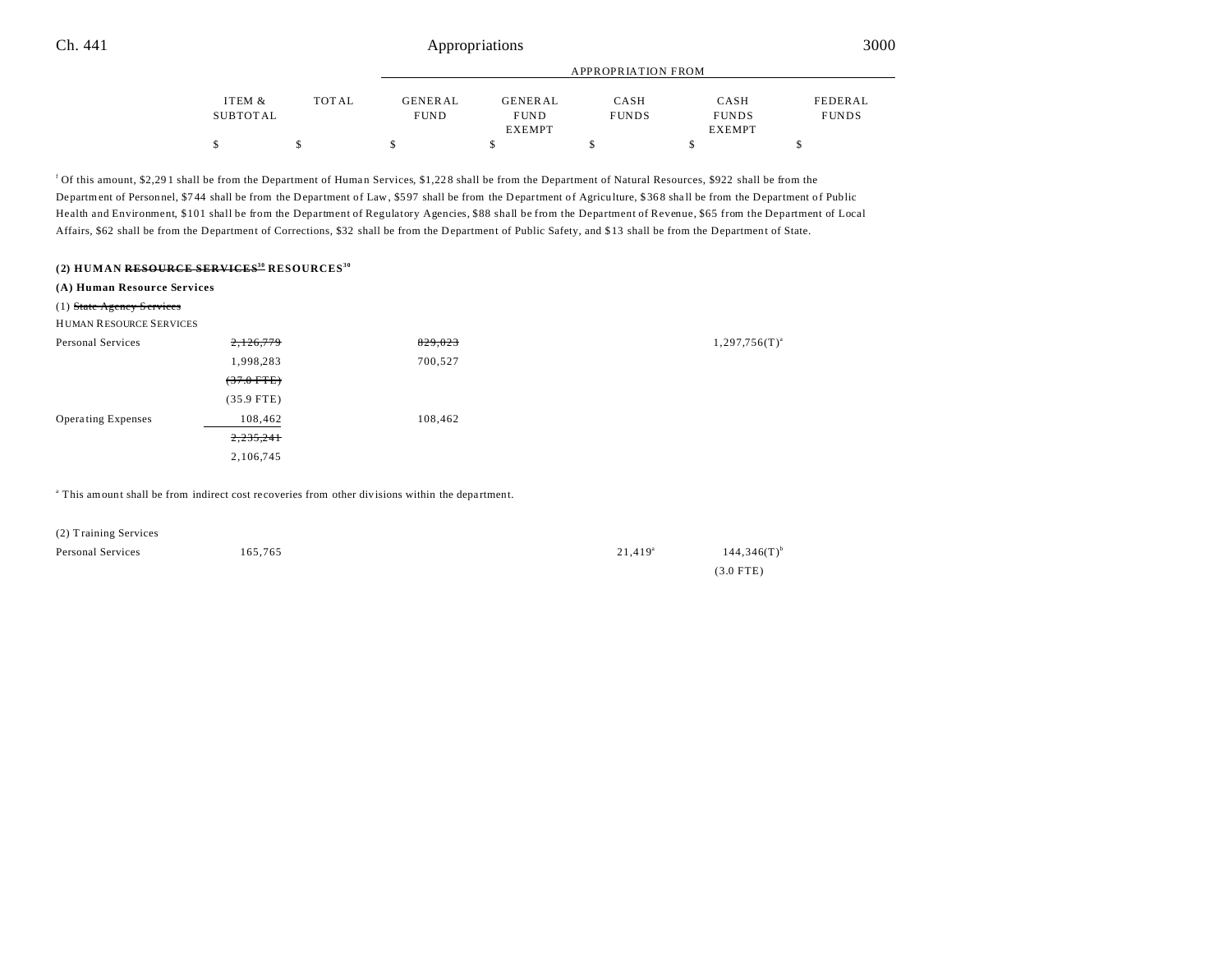|          |       | APPROPRIATION FROM |                |              |               |              |
|----------|-------|--------------------|----------------|--------------|---------------|--------------|
| ITEM &   | TOTAL | <b>GENERAL</b>     | <b>GENERAL</b> | CASH         | CASH          | FEDERAL      |
| SUBTOTAL |       | <b>FUND</b>        | <b>FUND</b>    | <b>FUNDS</b> | <b>FUNDS</b>  | <b>FUNDS</b> |
|          |       |                    | <b>EXEMPT</b>  |              | <b>EXEMPT</b> |              |
|          |       |                    |                |              |               |              |

f Of this amount, \$2,29 1 shall be from the Department of Human Services, \$1,22 8 shall be from the Department of Natural Resources, \$922 shall be from the Department of Personnel, \$744 shall be from the Department of Law, \$597 shall be from the Department of Agriculture, \$368 shall be from the Department of Public Health and Environment, \$101 shall be from the Department of Regulatory Agencies, \$88 shall be from the Department of Revenue, \$65 from the Department of Local Affairs, \$62 shall be from the Department of Corrections, \$32 shall be from the Department of Public Safety, and \$ 13 shall be from the Department of State.

## **(2) HUMAN RESOURCE SERVICES<sup>30</sup> RESOURCES<sup>30</sup>**

| (A) Human Resource Services    |              |         |                    |
|--------------------------------|--------------|---------|--------------------|
| (1) State Agency Services      |              |         |                    |
| <b>HUMAN RESOURCE SERVICES</b> |              |         |                    |
| Personal Services              | 2,126,779    | 829,023 | $1,297,756(T)^{a}$ |
|                                | 1,998,283    | 700,527 |                    |
|                                | $(37.0$ FTE) |         |                    |
|                                | $(35.9$ FTE) |         |                    |
| <b>Operating Expenses</b>      | 108,462      | 108,462 |                    |
|                                | 2,235,241    |         |                    |
|                                | 2,106,745    |         |                    |
|                                |              |         |                    |

<sup>a</sup> This amount shall be from indirect cost recoveries from other divisions within the department.

| (2) Training Services |         |                       |
|-----------------------|---------|-----------------------|
| Personal Services     | 165.765 | $21.419$ <sup>a</sup> |

 $144,346(T)^{b}$ (3.0 FTE)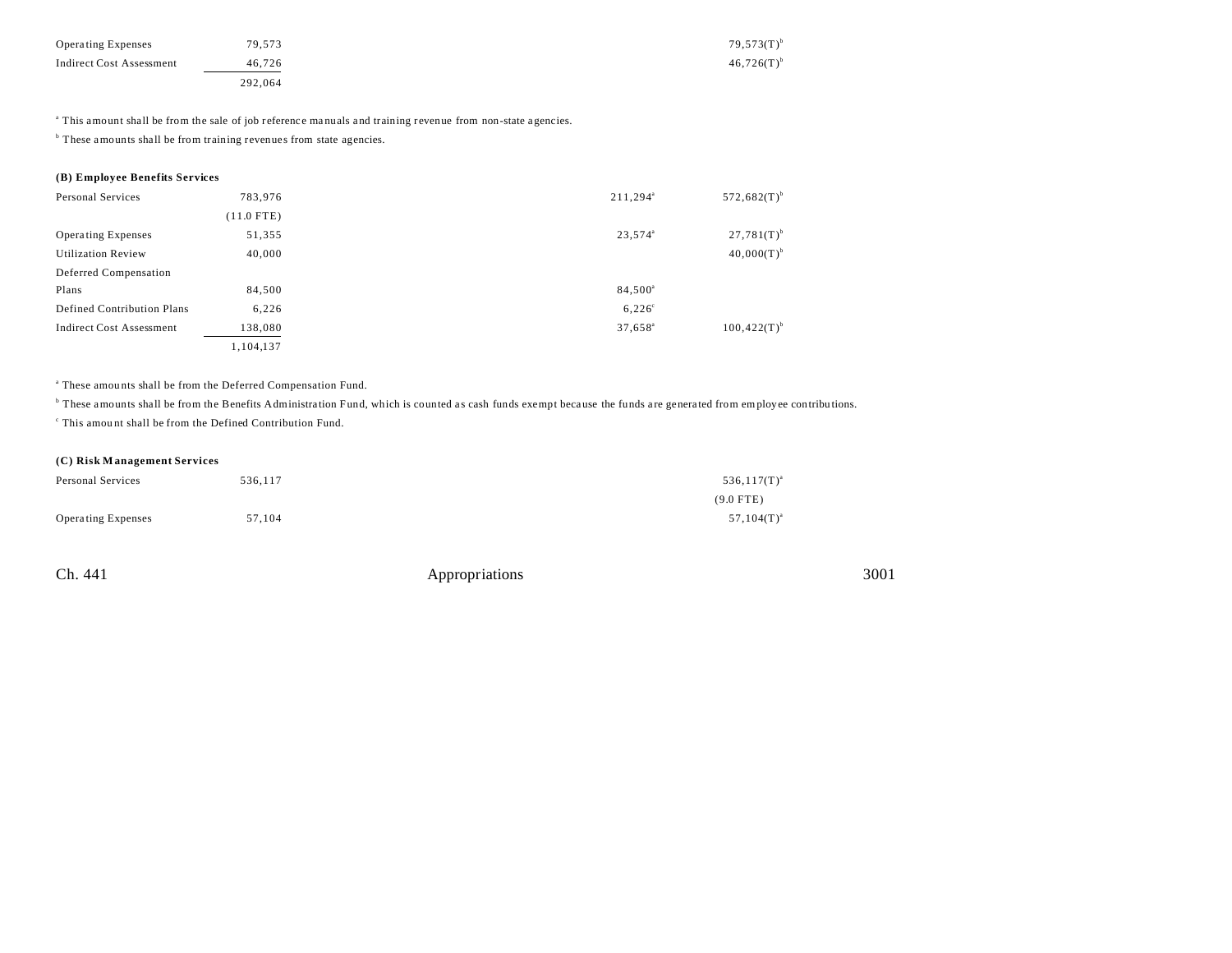| <b>Operating Expenses</b>       | 79,573  | $79.573(T)^t$ |
|---------------------------------|---------|---------------|
| <b>Indirect Cost Assessment</b> | 46.726  | $46,726(T)^t$ |
|                                 | 292.064 |               |

a This amount shall be from the sale of job r eference ma nuals a nd training revenue from non-state a gencies.

<sup>b</sup> These amounts shall be from training revenues from state agencies.

## **(B) Employee Benefits Services**

| Personal Services               | 783.976      | $211,294^a$         | $572,682(T)$ <sup>b</sup> |
|---------------------------------|--------------|---------------------|---------------------------|
|                                 | $(11.0$ FTE) |                     |                           |
| <b>Operating Expenses</b>       | 51,355       | 23,574 <sup>a</sup> | $27,781(T)^{b}$           |
| <b>Utilization Review</b>       | 40,000       |                     | $40,000(T)^{b}$           |
| Deferred Compensation           |              |                     |                           |
| Plans                           | 84,500       | 84,500 <sup>a</sup> |                           |
| Defined Contribution Plans      | 6,226        | $6,226^{\circ}$     |                           |
| <b>Indirect Cost Assessment</b> | 138,080      | $37,658^{\circ}$    | $100,422(T)^{b}$          |
|                                 | 1,104,137    |                     |                           |

<sup>a</sup> These amounts shall be from the Deferred Compensation Fund.

<sup>b</sup> These amounts shall be from the Benefits Administration Fund, which is counted as cash funds exempt because the funds are generated from employee contributions.

c This amou nt shall be from the Defined Contribution Fund.

## **(C) Risk M anagement Services**

| Personal Services         | 536.117 | $536,117(T)^{a}$ |
|---------------------------|---------|------------------|
|                           |         | $(9.0$ FTE)      |
| <b>Operating Expenses</b> | 57,104  | $57,104(T)^{a}$  |

| Ch. 441 | Appropriations | 3001 |
|---------|----------------|------|
|         |                |      |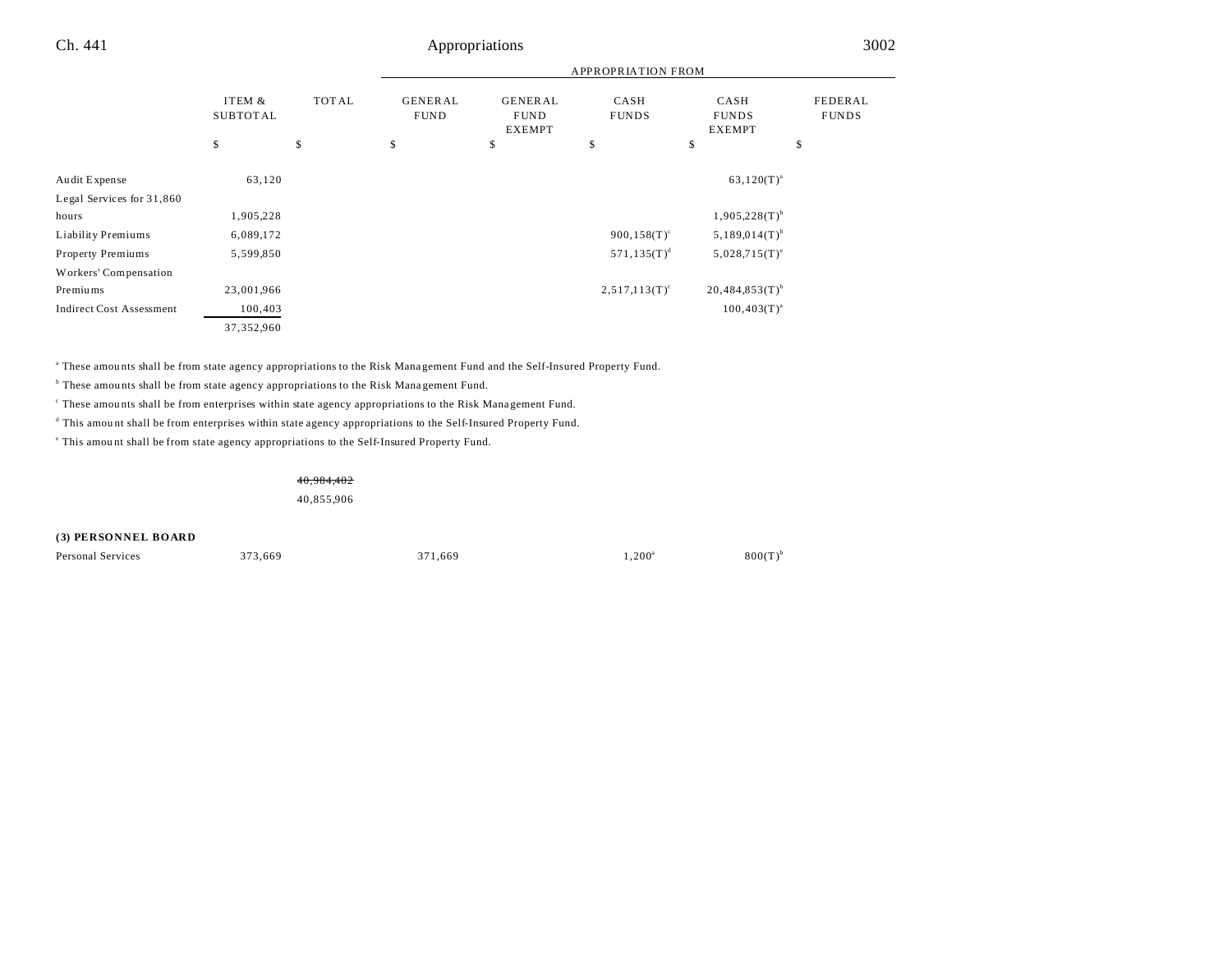|                                 |                           |              | <b>APPROPRIATION FROM</b>     |                                                |                      |                                       |                         |
|---------------------------------|---------------------------|--------------|-------------------------------|------------------------------------------------|----------------------|---------------------------------------|-------------------------|
|                                 | ITEM &<br><b>SUBTOTAL</b> | <b>TOTAL</b> | <b>GENERAL</b><br><b>FUND</b> | <b>GENERAL</b><br><b>FUND</b><br><b>EXEMPT</b> | CASH<br><b>FUNDS</b> | CASH<br><b>FUNDS</b><br><b>EXEMPT</b> | FEDERAL<br><b>FUNDS</b> |
|                                 | \$                        | \$           | \$                            | \$                                             | \$                   | \$                                    | \$                      |
| Audit Expense                   | 63,120                    |              |                               |                                                |                      | $63,120(T)^{a}$                       |                         |
| Legal Services for 31,860       |                           |              |                               |                                                |                      |                                       |                         |
| hours                           | 1,905,228                 |              |                               |                                                |                      | $1,905,228(T)$ <sup>b</sup>           |                         |
| Liability Premiums              | 6,089,172                 |              |                               |                                                | $900, 158(T)^c$      | $5,189,014(T)$ <sup>b</sup>           |                         |
| Property Premiums               | 5,599,850                 |              |                               |                                                | $571, 135(T)^d$      | $5,028,715(T)^e$                      |                         |
| Workers' Compensation           |                           |              |                               |                                                |                      |                                       |                         |
| Premiums                        | 23,001,966                |              |                               |                                                | $2,517,113(T)^c$     | $20,484,853(T)$ <sup>b</sup>          |                         |
| <b>Indirect Cost Assessment</b> | 100,403                   |              |                               |                                                |                      | $100,403(T)^{a}$                      |                         |
|                                 | 37,352,960                |              |                               |                                                |                      |                                       |                         |

a These amou nts shall be from state agency appropriations to the Risk Mana gement Fund and the Self-Insured Property Fund.

<sup>b</sup> These amounts shall be from state agency appropriations to the Risk Management Fund.

These amounts shall be from enterprises within state agency appropriations to the Risk Management Fund.

<sup>d</sup> This amount shall be from enterprises within state agency appropriations to the Self-Insured Property Fund.

e This amou nt shall be from state agency appropriations to the Self-Insured Property Fund.

40,984,402

40,855,906

**(3) PERSONNEL BOARD**

Personal Services 373,669 371,669 1,200<sup>a</sup> 1,200<sup>a</sup>

 $800(T)^b$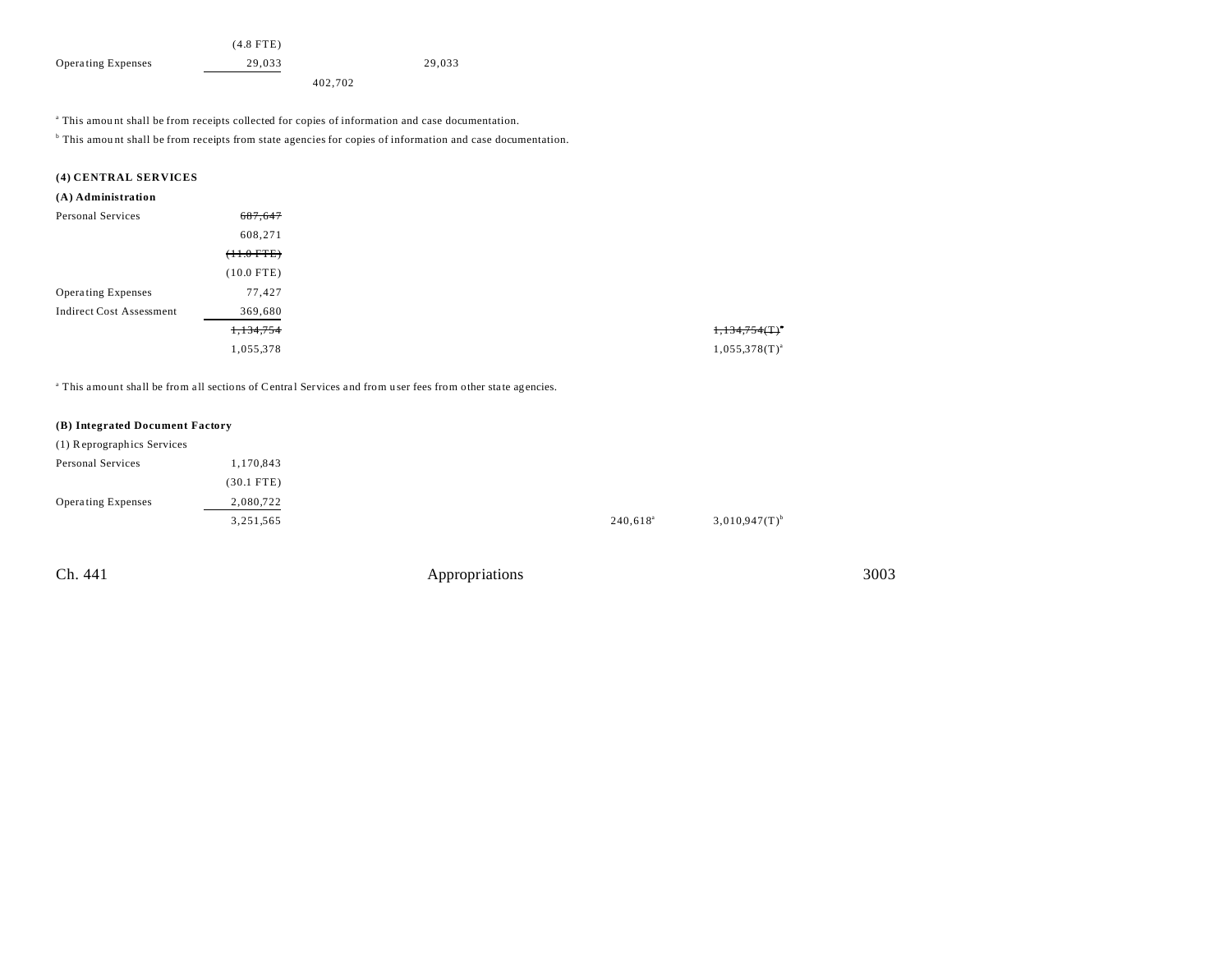|                           | $(4.8$ FTE) |        |
|---------------------------|-------------|--------|
| <b>Operating Expenses</b> | 29.033      | 29.033 |
|                           | 402,702     |        |

a This amou nt shall be from receipts collected for copies of information and case documentation.

<sup>b</sup> This amount shall be from receipts from state agencies for copies of information and case documentation.

## **(4) CENTRAL SERVICES**

## **(A) Administration**

| Personal Services               | 687,647      |
|---------------------------------|--------------|
|                                 | 608,271      |
|                                 | $(11.0$ FTE) |
|                                 | $(10.0$ FTE) |
| Operating Expenses              | 77,427       |
| <b>Indirect Cost Assessment</b> | 369,680      |
|                                 | 1,134,754    |
|                                 | 1,055,378    |
|                                 |              |

<sup>a</sup> This amount shall be from all sections of Central Services and from user fees from other state agencies.

## **(B) Integrated Document Factory**

| (1) Reprographics Services |              |                   |                    |
|----------------------------|--------------|-------------------|--------------------|
| Personal Services          | 1,170,843    |                   |                    |
|                            | $(30.1$ FTE) |                   |                    |
| <b>Operating Expenses</b>  | 2,080,722    |                   |                    |
|                            | 3,251,565    | $240,618^{\circ}$ | $3,010,947(T)^{b}$ |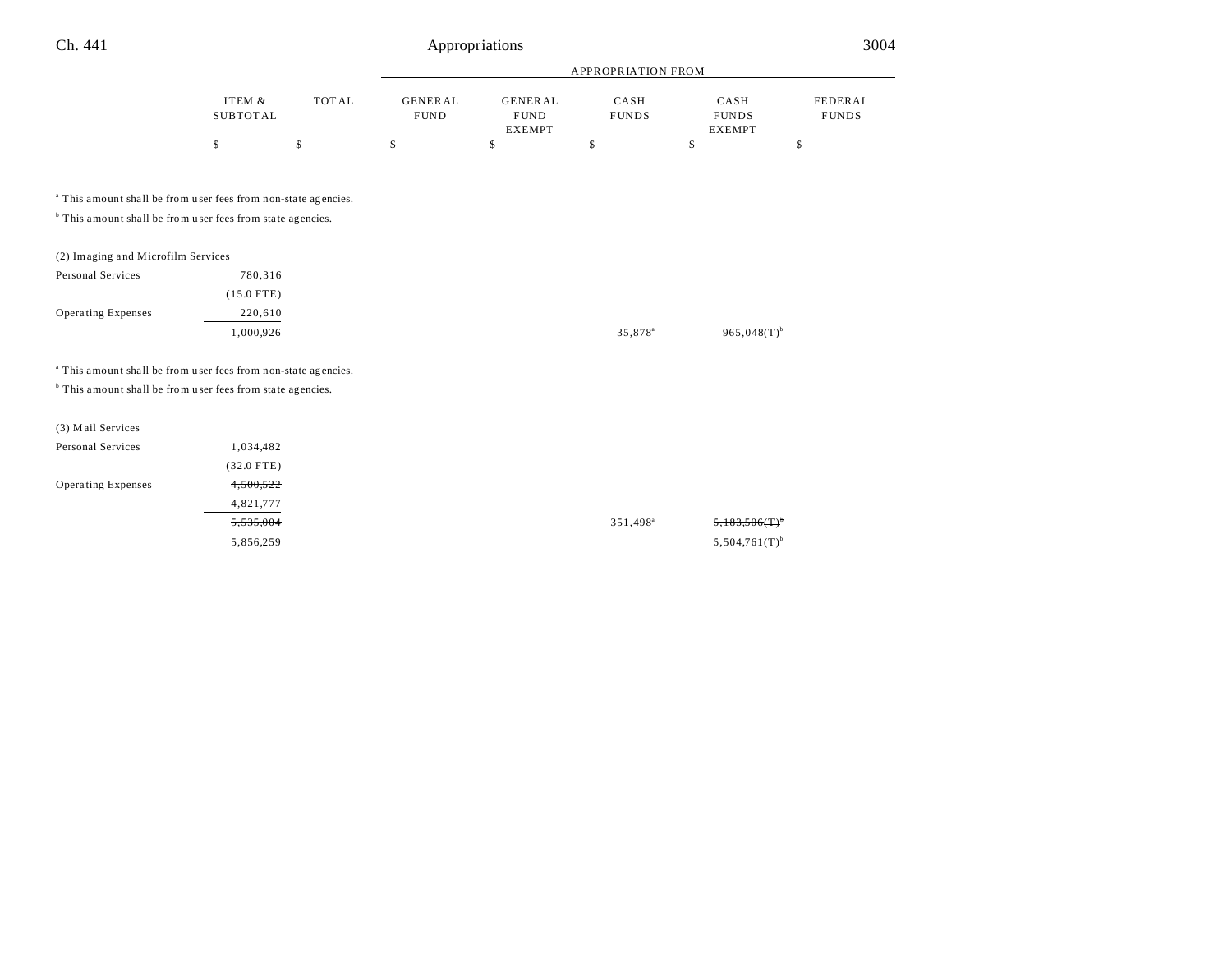|                                                                           |                           |              | APPROPRIATION FROM            |                                                 |                      |                                       |                                |
|---------------------------------------------------------------------------|---------------------------|--------------|-------------------------------|-------------------------------------------------|----------------------|---------------------------------------|--------------------------------|
|                                                                           | ITEM &<br><b>SUBTOTAL</b> | <b>TOTAL</b> | <b>GENERAL</b><br><b>FUND</b> | <b>GENERAL</b><br>${\tt FUND}$<br><b>EXEMPT</b> | CASH<br><b>FUNDS</b> | CASH<br><b>FUNDS</b><br><b>EXEMPT</b> | <b>FEDERAL</b><br><b>FUNDS</b> |
|                                                                           | \$                        | \$           | \$                            | \$                                              | \$                   | \$                                    | \$                             |
| <sup>a</sup> This amount shall be from user fees from non-state agencies. |                           |              |                               |                                                 |                      |                                       |                                |
| <sup>b</sup> This amount shall be from user fees from state agencies.     |                           |              |                               |                                                 |                      |                                       |                                |
| (2) Imaging and Microfilm Services                                        |                           |              |                               |                                                 |                      |                                       |                                |
| Personal Services                                                         | 780,316                   |              |                               |                                                 |                      |                                       |                                |
|                                                                           | $(15.0$ FTE)              |              |                               |                                                 |                      |                                       |                                |
| <b>Operating Expenses</b>                                                 | 220,610                   |              |                               |                                                 |                      |                                       |                                |
|                                                                           | 1,000,926                 |              |                               |                                                 | 35,878 <sup>a</sup>  | $965,048(T)$ <sup>b</sup>             |                                |
| <sup>a</sup> This amount shall be from user fees from non-state agencies. |                           |              |                               |                                                 |                      |                                       |                                |
| <sup>b</sup> This amount shall be from user fees from state agencies.     |                           |              |                               |                                                 |                      |                                       |                                |
| (3) Mail Services                                                         |                           |              |                               |                                                 |                      |                                       |                                |
| Personal Services                                                         | 1,034,482                 |              |                               |                                                 |                      |                                       |                                |
|                                                                           | $(32.0$ FTE)              |              |                               |                                                 |                      |                                       |                                |
| <b>Operating Expenses</b>                                                 | 4,500,522                 |              |                               |                                                 |                      |                                       |                                |
|                                                                           | 4,821,777                 |              |                               |                                                 |                      |                                       |                                |
|                                                                           | 5,535,004                 |              |                               |                                                 | 351,498 <sup>a</sup> |                                       |                                |
|                                                                           | 5,856,259                 |              |                               |                                                 |                      | $5,504,761(T)$ <sup>b</sup>           |                                |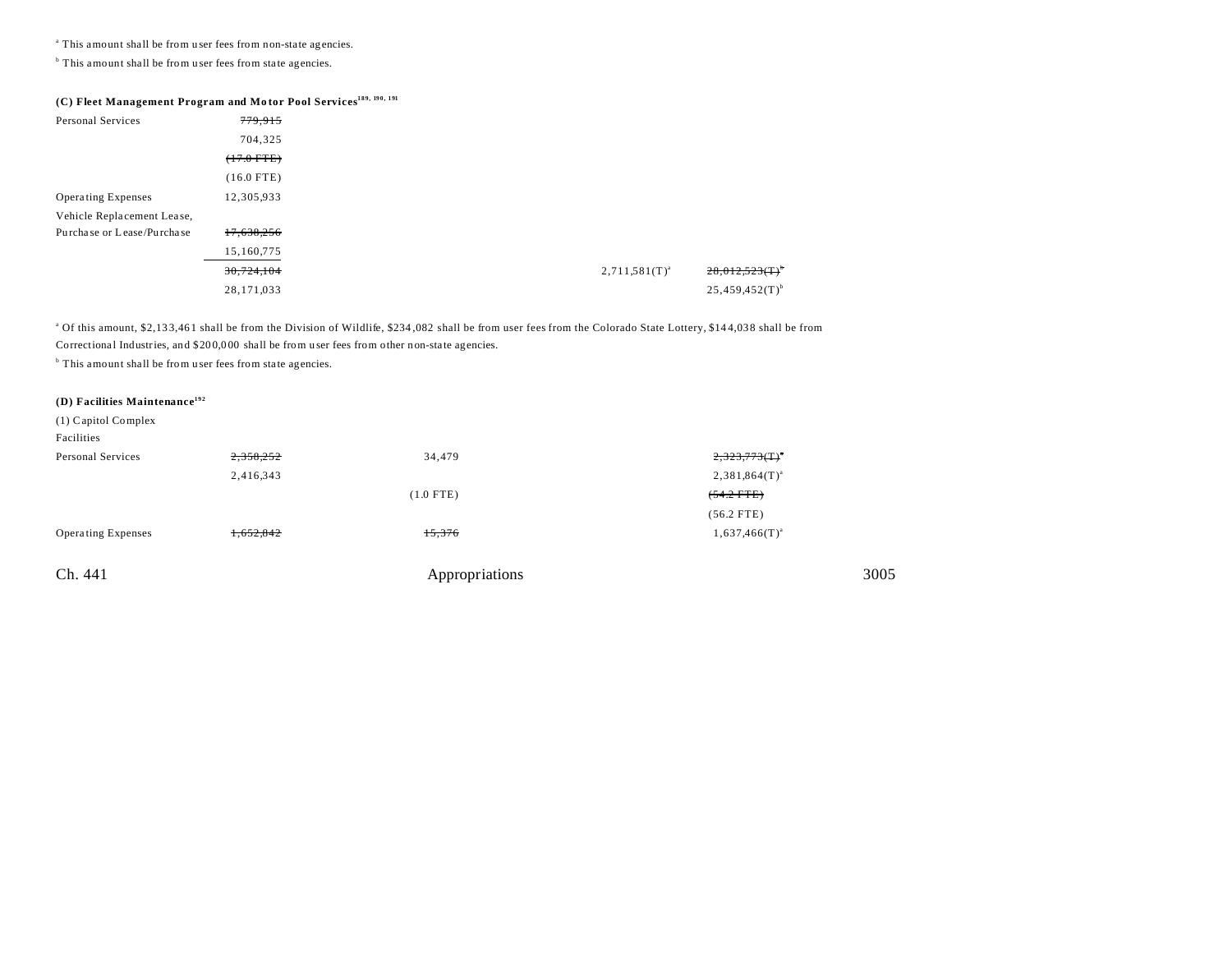<sup>a</sup> This amount shall be from user fees from non-state agencies.

<sup>b</sup> This amount shall be from user fees from state agencies.

# **(C) Fleet Management Program and Mo tor Pool Services189, 190, 191**

| Personal Services          | 779,915         |  |                    |                               |
|----------------------------|-----------------|--|--------------------|-------------------------------|
|                            | 704,325         |  |                    |                               |
|                            | $(+7.0$ FTE $)$ |  |                    |                               |
|                            | $(16.0$ FTE)    |  |                    |                               |
| <b>Operating Expenses</b>  | 12,305,933      |  |                    |                               |
| Vehicle Replacement Lease, |                 |  |                    |                               |
| Purchase or Lease/Purchase | 17,638,256      |  |                    |                               |
|                            | 15,160,775      |  |                    |                               |
|                            | 30,724,104      |  | $2,711,581(T)^{a}$ | $28,012,523$ (T) <sup>b</sup> |
|                            | 28,171,033      |  |                    | $25,459,452(T)$ <sup>b</sup>  |

<sup>a</sup> Of this amount, \$2,133,461 shall be from the Division of Wildlife, \$234,082 shall be from user fees from the Colorado State Lottery, \$144,038 shall be from Correctional Industries, and \$200,000 shall be from user fees from other non-state agencies.

<sup>b</sup> This amount shall be from user fees from state agencies.

## **(D) Facilities Maintenance<sup>192</sup>**

| $(1)$ Capitol Complex |  |
|-----------------------|--|
| Facilities            |  |

| r acuius.                 |           |                |                       |
|---------------------------|-----------|----------------|-----------------------|
| Personal Services         | 2,358,252 | 34,479         | $2,323,773$ $(T)^{n}$ |
|                           | 2,416,343 |                | $2,381,864(T)^{a}$    |
|                           |           | $(1.0$ FTE)    | $(54.2$ FTE)          |
|                           |           |                | $(56.2$ FTE)          |
| <b>Operating Expenses</b> | 1,652,842 | 15,376         | $1,637,466(T)^{a}$    |
|                           |           |                |                       |
| Ch. 441                   |           | Appropriations | 3005                  |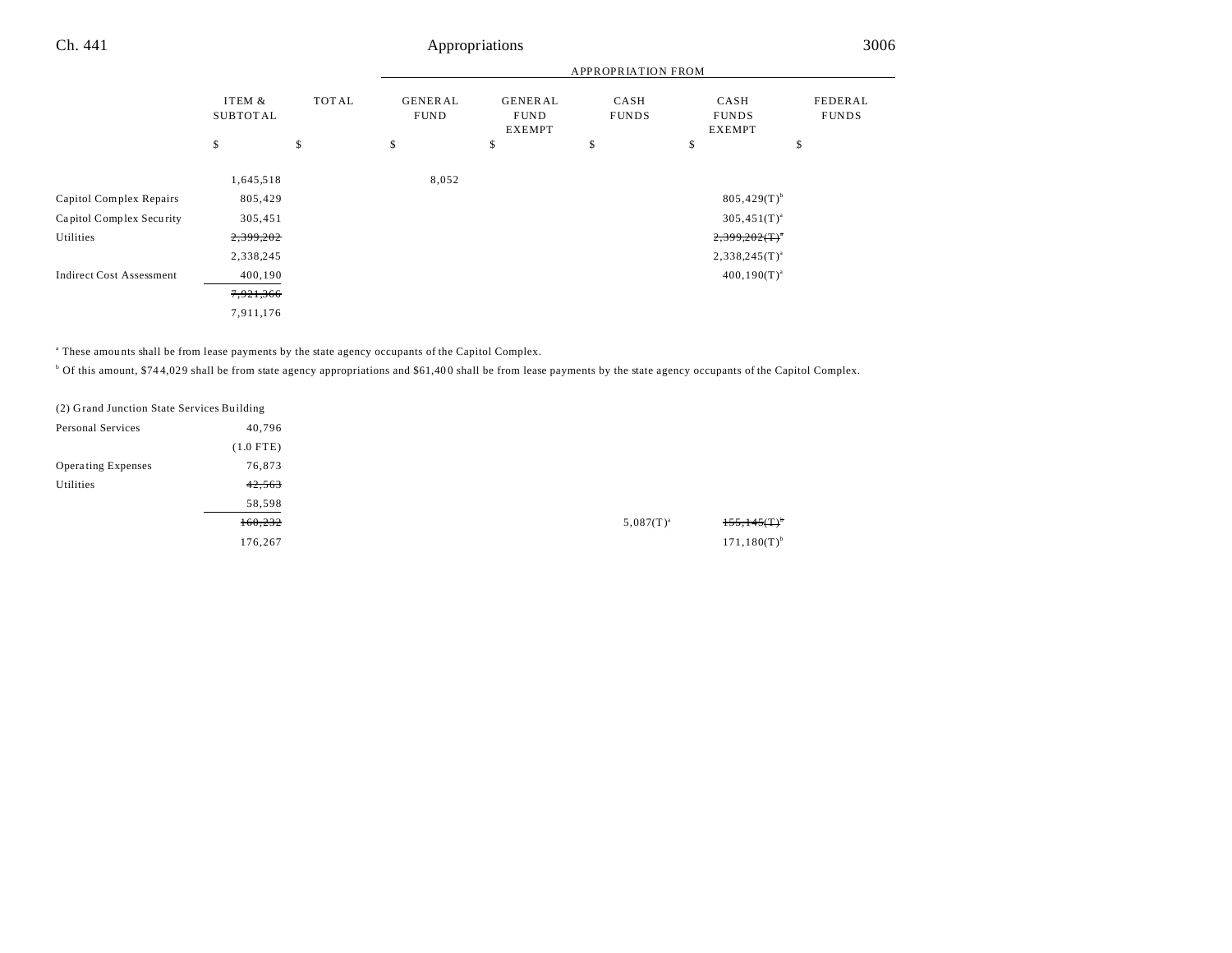|                                 |                           |              | <b>APPROPRIATION FROM</b>     |                                                |                      |                                       |                         |
|---------------------------------|---------------------------|--------------|-------------------------------|------------------------------------------------|----------------------|---------------------------------------|-------------------------|
|                                 | ITEM &<br><b>SUBTOTAL</b> | <b>TOTAL</b> | <b>GENERAL</b><br><b>FUND</b> | <b>GENERAL</b><br><b>FUND</b><br><b>EXEMPT</b> | CASH<br><b>FUNDS</b> | CASH<br><b>FUNDS</b><br><b>EXEMPT</b> | FEDERAL<br><b>FUNDS</b> |
|                                 | \$                        | \$           | \$                            | \$                                             | \$                   | \$                                    | \$                      |
|                                 | 1,645,518                 |              | 8,052                         |                                                |                      |                                       |                         |
| Capitol Complex Repairs         | 805,429                   |              |                               |                                                |                      | $805,429(T)$ <sup>b</sup>             |                         |
| Capitol Complex Security        | 305,451                   |              |                               |                                                |                      | $305,451(T)^{a}$                      |                         |
| Utilities                       | 2,399,202                 |              | $2,399,202($ T) <sup>*</sup>  |                                                |                      |                                       |                         |
|                                 | 2,338,245                 |              |                               |                                                |                      | $2,338,245(T)^{a}$                    |                         |
| <b>Indirect Cost Assessment</b> | 400,190                   |              |                               |                                                |                      | $400, 190(T)^{a}$                     |                         |
|                                 | 7,921,366                 |              |                               |                                                |                      |                                       |                         |
|                                 | 7,911,176                 |              |                               |                                                |                      |                                       |                         |

a These amou nts shall be from lease payments by the state agency occupants of the Capitol Complex.

<sup>b</sup> Of this amount, \$744,029 shall be from state agency appropriations and \$61,400 shall be from lease payments by the state agency occupants of the Capitol Complex.

| (2) Grand Junction State Services Building |             |
|--------------------------------------------|-------------|
| Personal Services                          | 40,796      |
|                                            | $(1.0$ FTE) |
| <b>Operating Expenses</b>                  | 76,873      |
| Utilities                                  | 42,563      |
|                                            | 58,598      |
|                                            | 160,232     |
|                                            | 176,267     |
|                                            |             |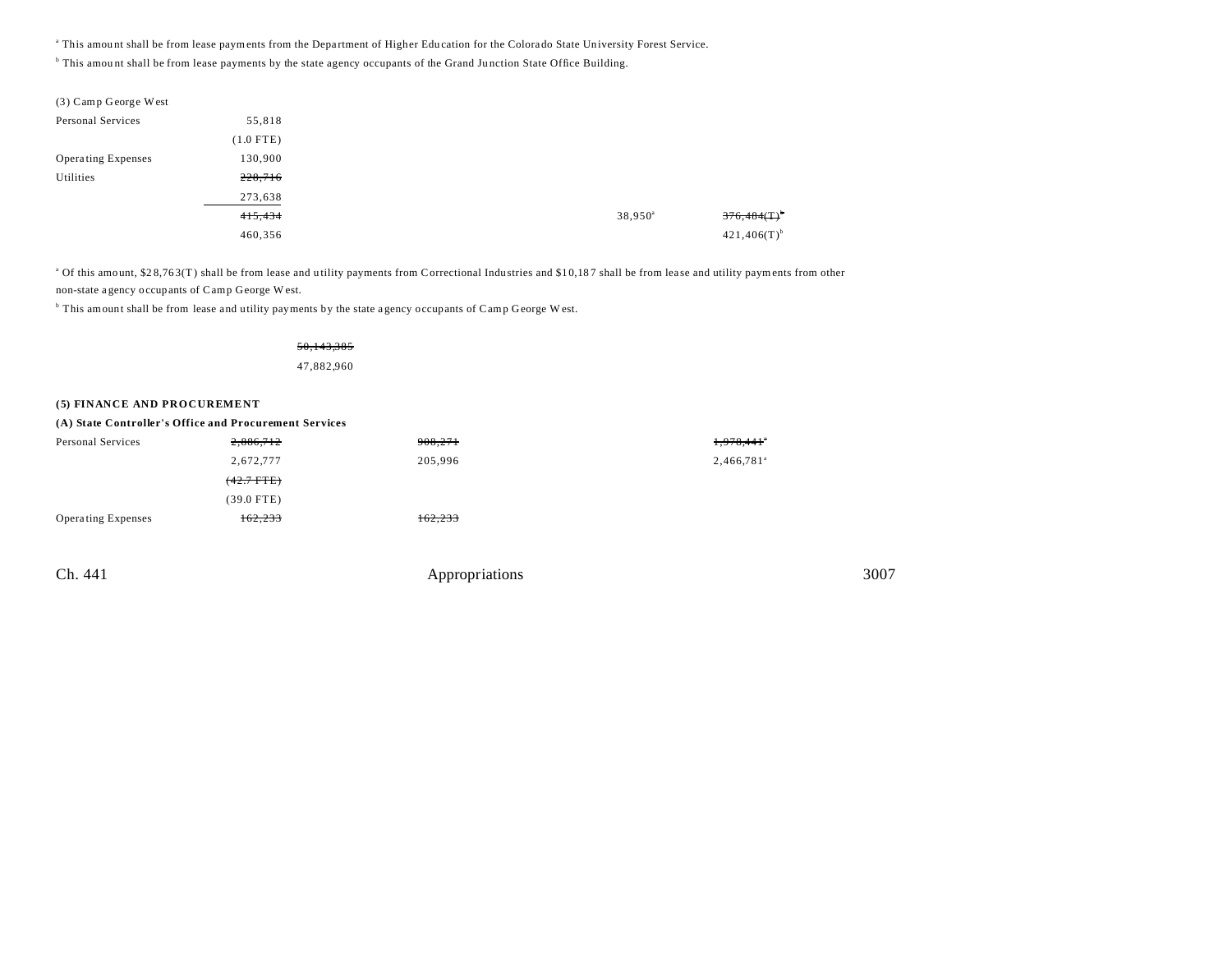<sup>a</sup> This amount shall be from lease payments from the Department of Higher Education for the Colorado State University Forest Service.

<sup>b</sup> This amount shall be from lease payments by the state agency occupants of the Grand Junction State Office Building.

| (3) Camp George West      |             |
|---------------------------|-------------|
| Personal Services         | 55,818      |
|                           | $(1.0$ FTE) |
| <b>Operating Expenses</b> | 130,900     |
| Utilities                 | 228,716     |
|                           | 273,638     |
|                           | 415,434     |
|                           | 460,356     |

<sup>a</sup> Of this amount, \$28,763(T) shall be from lease and utility payments from Correctional Industries and \$10,187 shall be from lease and utility payments from other non-state a gency occupants of Camp George W est.

<sup>b</sup> This amount shall be from lease and utility payments by the state agency occupants of Camp George W est.

## 50,143,385

47,882,960

## **(5) FINANCE AND PROCUREMENT**

| (A) State Controller's Office and Procurement Services |              |         |                          |  |  |  |  |
|--------------------------------------------------------|--------------|---------|--------------------------|--|--|--|--|
| Personal Services                                      | 2,886,712    | 908,271 | 1,978,441                |  |  |  |  |
|                                                        | 2,672,777    | 205,996 | $2,466,781$ <sup>a</sup> |  |  |  |  |
|                                                        | $(42.7$ FTE) |         |                          |  |  |  |  |
|                                                        | $(39.0$ FTE) |         |                          |  |  |  |  |
| <b>Operating Expenses</b>                              | 162,233      | 162,233 |                          |  |  |  |  |
|                                                        |              |         |                          |  |  |  |  |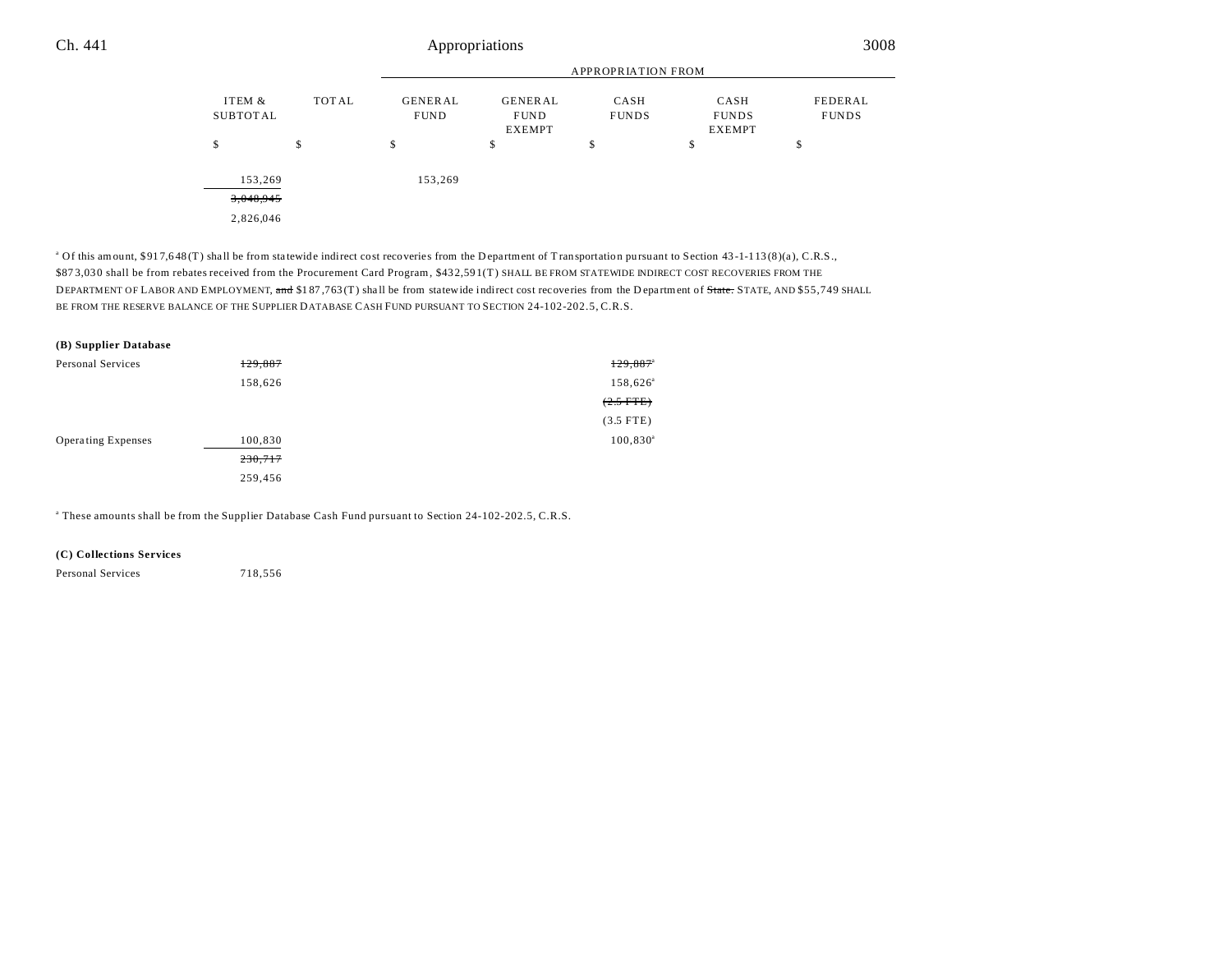|                    |       | <b>APPROPRIATION FROM</b>     |                                                |                      |                                       |                         |  |  |
|--------------------|-------|-------------------------------|------------------------------------------------|----------------------|---------------------------------------|-------------------------|--|--|
| ITEM &<br>SUBTOTAL | TOTAL | <b>GENERAL</b><br><b>FUND</b> | <b>GENERAL</b><br><b>FUND</b><br><b>EXEMPT</b> | CASH<br><b>FUNDS</b> | CASH<br><b>FUNDS</b><br><b>EXEMPT</b> | FEDERAL<br><b>FUNDS</b> |  |  |
| \$                 | \$    | \$                            | \$                                             | \$                   | \$                                    | \$                      |  |  |
| 153,269            |       | 153,269                       |                                                |                      |                                       |                         |  |  |
| 3,048,945          |       |                               |                                                |                      |                                       |                         |  |  |
| 2,826,046          |       |                               |                                                |                      |                                       |                         |  |  |

<sup>a</sup> Of this amount, \$917,648 (T) shall be from statewide indirect cost recoveries from the Department of Transportation pursuant to Section 43-1-113 (8)(a), C.R.S., \$87 3,03 0 shall be from rebates received from the Procurement Card Program, \$43 2,59 1(T) SHALL BE FROM STATEWIDE INDIRECT COST RECOVERIES FROM THE DEPARTMENT OF LABOR AND EMPLOYMENT, and \$187,763 (T) shall be from statewide indirect cost recoveries from the Department of State. STATE, AND \$55,749 SHALL BE FROM THE RESERVE BALANCE OF THE SUPPLIER DATABASE CASH FUND PURSUANT TO SECTION 24-102-202.5, C.R.S.

| (B) Supplier Database     |         |                        |
|---------------------------|---------|------------------------|
| Personal Services         | 129,887 | $129,887$ <sup>a</sup> |
|                           | 158,626 | 158,626 <sup>a</sup>   |
|                           |         | $(2.5 \text{ FTE})$    |
|                           |         | $(3.5$ FTE)            |
| <b>Operating Expenses</b> | 100,830 | $100,830^a$            |
|                           | 230,717 |                        |
|                           | 259,456 |                        |

a These amounts shall be from the Supplier Database Cash Fund pursuant to Section 24-102-202.5, C.R.S.

## **(C) Collections Services**

Personal Services 718,556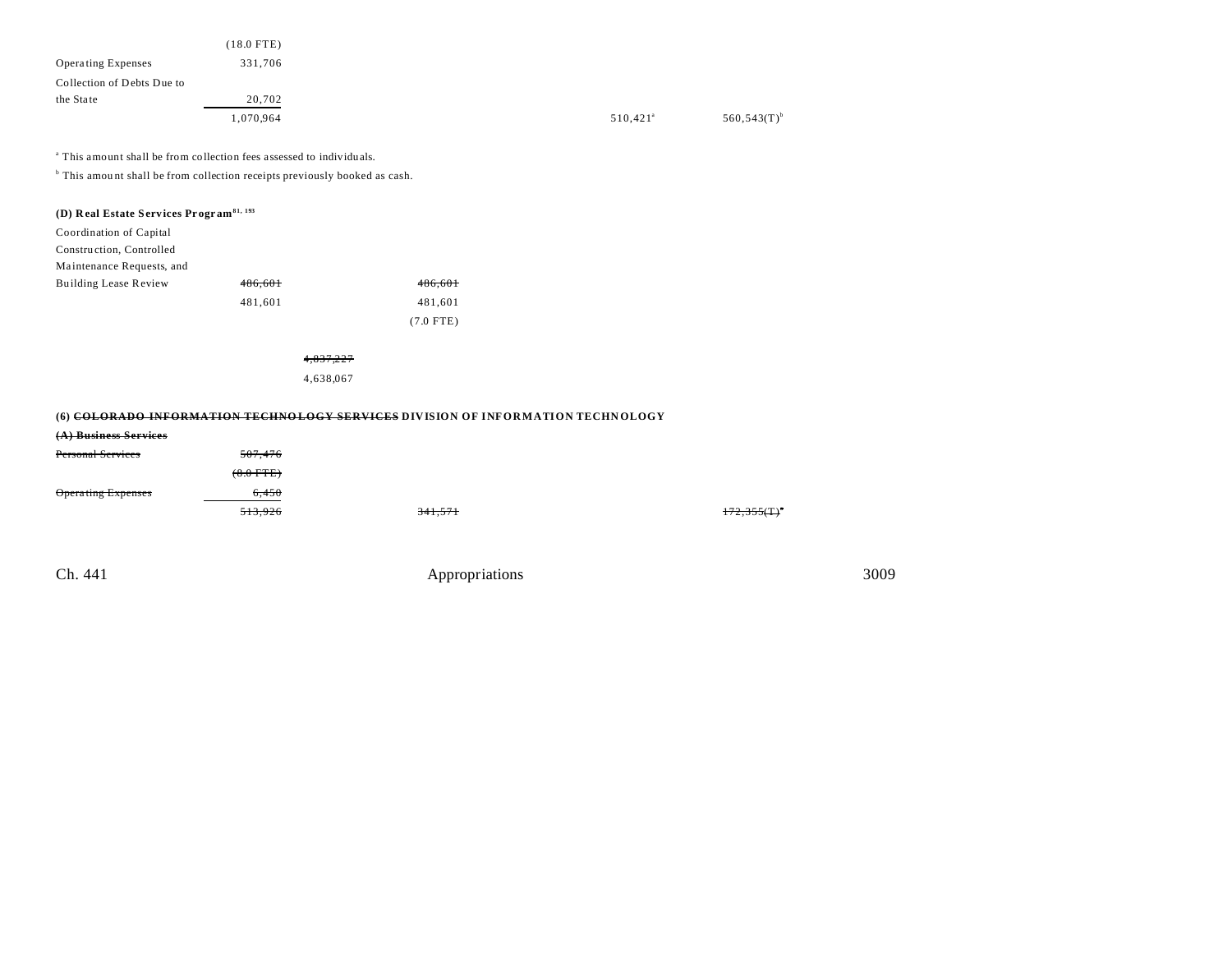|                            | (18.0 FTE) |
|----------------------------|------------|
| <b>Operating Expenses</b>  | 331,706    |
| Collection of Debts Due to |            |
| the State                  | 20,702     |
|                            | 1,070,964  |

<sup>a</sup> This amount shall be from collection fees assessed to individuals.

<sup>b</sup> This amount shall be from collection receipts previously booked as cash.

| (D) Real Estate Services Program <sup>81, 193</sup> |  |
|-----------------------------------------------------|--|
|-----------------------------------------------------|--|

Coordination of Capital

Construction, Controlled

Ma intenance Requests, and

| <b>Building Lease Review</b> | 486.601 | 486,601     |
|------------------------------|---------|-------------|
|                              | 481.601 | 481.601     |
|                              |         | $(7.0$ FTE) |

4,837,227 4,638,067

## **(6) COLORADO INFORMATION TECHNO LOGY SERVICES DIVISION OF INFORMATION TECHN OLOGY**

| (A) Business Services    |             |         |            |
|--------------------------|-------------|---------|------------|
| <b>Personal Services</b> | 507.476     |         |            |
|                          | $(8.0$ FTE) |         |            |
| Operating Expenses       | 6.450       |         |            |
|                          | 513,926     | 341,571 | 172,355(T) |
|                          |             |         |            |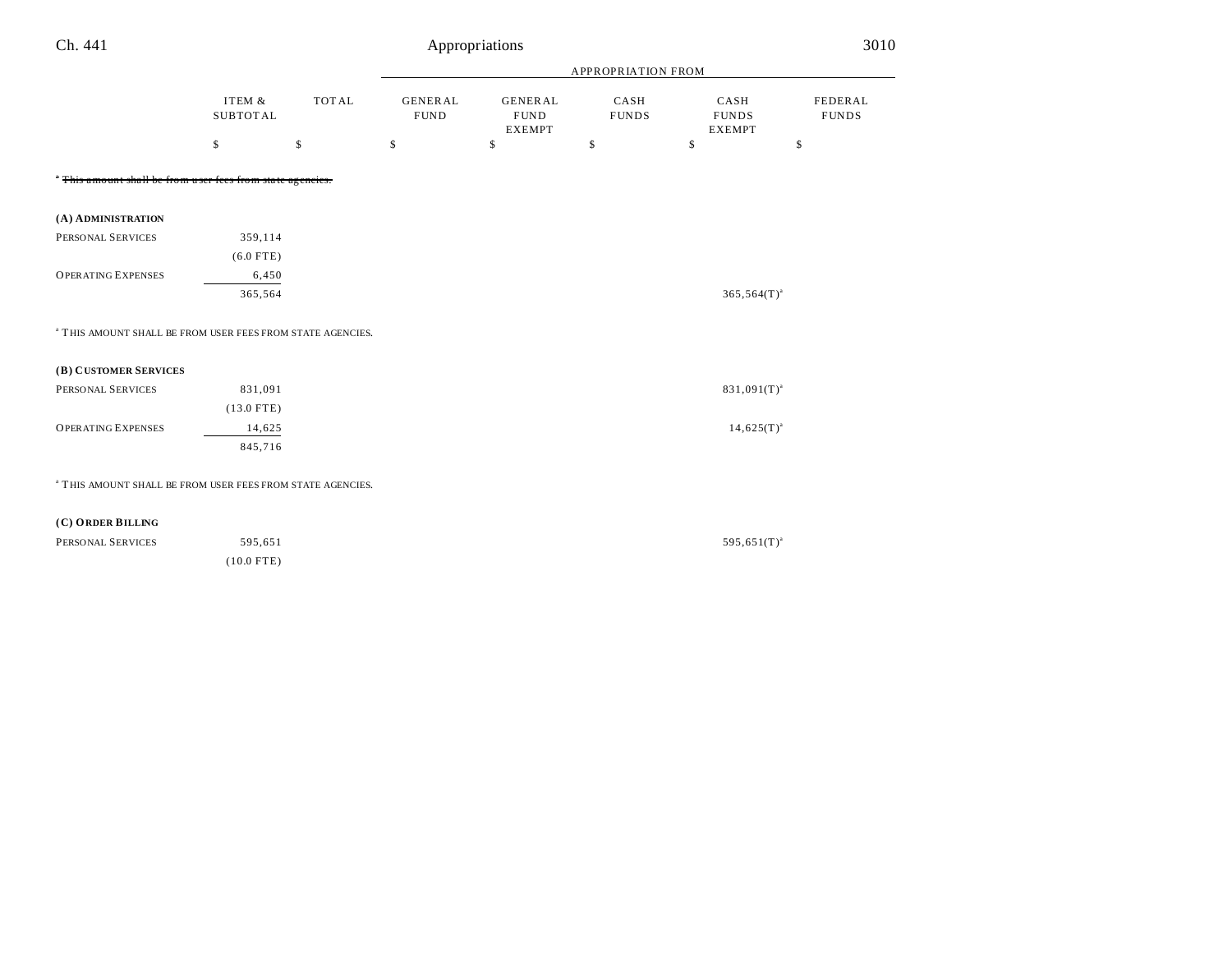| Ch. 441                                                               |                           |              |                               | 3010<br>Appropriations                         |                      |                                       |                         |
|-----------------------------------------------------------------------|---------------------------|--------------|-------------------------------|------------------------------------------------|----------------------|---------------------------------------|-------------------------|
|                                                                       |                           |              |                               |                                                | APPROPRIATION FROM   |                                       |                         |
|                                                                       | ITEM &<br><b>SUBTOTAL</b> | <b>TOTAL</b> | <b>GENERAL</b><br><b>FUND</b> | <b>GENERAL</b><br><b>FUND</b><br><b>EXEMPT</b> | CASH<br><b>FUNDS</b> | CASH<br><b>FUNDS</b><br><b>EXEMPT</b> | FEDERAL<br><b>FUNDS</b> |
|                                                                       | \$                        | \$           | \$                            | \$                                             | \$                   | \$                                    | \$                      |
| " This amount shall be from user fees from state agencies.            |                           |              |                               |                                                |                      |                                       |                         |
| (A) ADMINISTRATION                                                    |                           |              |                               |                                                |                      |                                       |                         |
| PERSONAL SERVICES                                                     | 359,114                   |              |                               |                                                |                      |                                       |                         |
|                                                                       | $(6.0$ FTE)               |              |                               |                                                |                      |                                       |                         |
| <b>OPERATING EXPENSES</b>                                             | 6,450                     |              |                               |                                                |                      |                                       |                         |
|                                                                       | 365,564                   |              |                               |                                                |                      | $365,564(T)^{a}$                      |                         |
| <sup>a</sup> THIS AMOUNT SHALL BE FROM USER FEES FROM STATE AGENCIES. |                           |              |                               |                                                |                      |                                       |                         |
| (B) CUSTOMER SERVICES                                                 |                           |              |                               |                                                |                      |                                       |                         |
| PERSONAL SERVICES                                                     | 831,091                   |              |                               |                                                |                      | $831,091(T)^{a}$                      |                         |
|                                                                       | $(13.0$ FTE)              |              |                               |                                                |                      |                                       |                         |
| <b>OPERATING EXPENSES</b>                                             | 14,625                    |              |                               |                                                |                      | $14,625(T)^{a}$                       |                         |
|                                                                       | 845,716                   |              |                               |                                                |                      |                                       |                         |
| <sup>a</sup> THIS AMOUNT SHALL BE FROM USER FEES FROM STATE AGENCIES. |                           |              |                               |                                                |                      |                                       |                         |
| (C) ORDER BILLING                                                     |                           |              |                               |                                                |                      |                                       |                         |
| PERSONAL SERVICES                                                     | 595,651                   |              |                               |                                                |                      | $595,651(T)^{a}$                      |                         |
|                                                                       | $(10.0$ FTE)              |              |                               |                                                |                      |                                       |                         |
|                                                                       |                           |              |                               |                                                |                      |                                       |                         |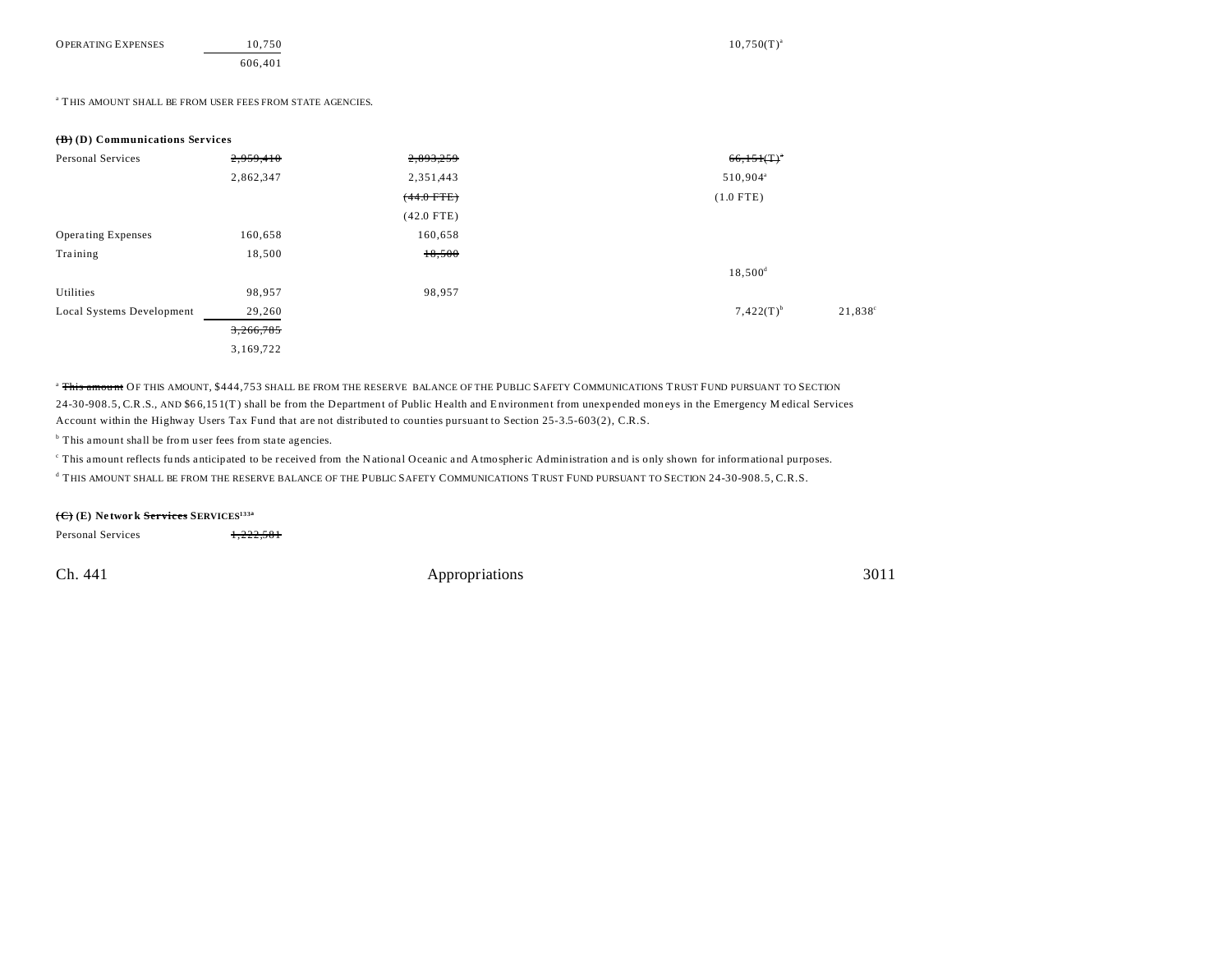| <b>OPERATING EXPENSES</b> | 10.750 | $10.750(T)^{3}$ |
|---------------------------|--------|-----------------|
|                           |        |                 |

### $^{\rm a}$  THIS AMOUNT SHALL BE FROM USER FEES FROM STATE AGENCIES.

## **(B) (D) Communications Services**

| Personal Services         | 2,959,410 | 2,893,259    | $66,151(T)^*$                      |
|---------------------------|-----------|--------------|------------------------------------|
|                           | 2,862,347 | 2,351,443    | 510,904 <sup>a</sup>               |
|                           |           | $(44.0$ FTE) | $(1.0$ FTE)                        |
|                           |           | $(42.0$ FTE) |                                    |
| <b>Operating Expenses</b> | 160,658   | 160,658      |                                    |
| Training                  | 18,500    | 18,500       |                                    |
|                           |           |              | $18,500^{\rm d}$                   |
| Utilities                 | 98,957    | 98,957       |                                    |
| Local Systems Development | 29,260    |              | $7,422(T)^{b}$<br>$21,838^{\circ}$ |
|                           | 3,266,785 |              |                                    |
|                           | 3,169,722 |              |                                    |

<sup>a</sup> This amount OF THIS AMOUNT, \$444,753 SHALL BE FROM THE RESERVE BALANCE OF THE PUBLIC SAFETY COMMUNICATIONS TRUST FUND PURSUANT TO SECTION 24-30-908.5, C.R.S., AND \$6 6,15 1(T ) shall be from the Department of Public Health and Environment from unexpended moneys in the Emergency M edical Services Account within the Highway Users Tax Fund that are not distributed to counties pursuant to Section 25-3.5-603(2), C.R.S.

<sup>b</sup> This amount shall be from user fees from state agencies.

This amount reflects funds anticipated to be received from the National Oceanic and Atmospheric Administration and is only shown for informational purposes.

d THIS AMOUNT SHALL BE FROM THE RESERVE BALANCE OF THE PUBLIC SAFETY COMMUNICATIONS TRUST FUND PURSUANT TO SECTION 24-30-908.5, C.R.S.

## **(C) (E) Ne twork Services SERVICES133a**

Personal Services 1,222,581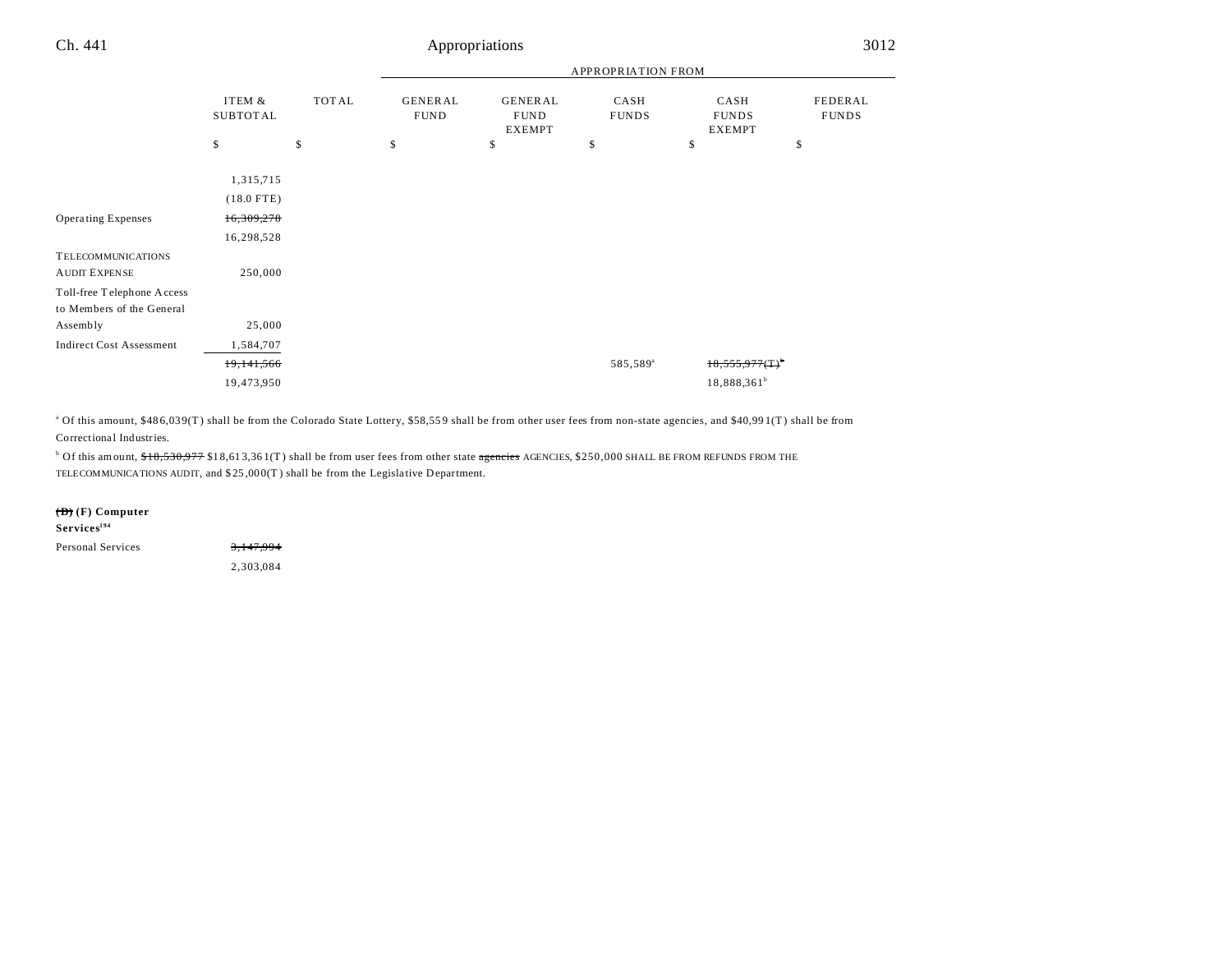|                                                         |                           |       |                               |                                                | <b>APPROPRIATION FROM</b> |                                       |                         |
|---------------------------------------------------------|---------------------------|-------|-------------------------------|------------------------------------------------|---------------------------|---------------------------------------|-------------------------|
|                                                         | ITEM &<br><b>SUBTOTAL</b> | TOTAL | <b>GENERAL</b><br><b>FUND</b> | <b>GENERAL</b><br><b>FUND</b><br><b>EXEMPT</b> | CASH<br><b>FUNDS</b>      | CASH<br><b>FUNDS</b><br><b>EXEMPT</b> | FEDERAL<br><b>FUNDS</b> |
|                                                         | \$                        | \$    | \$                            | \$                                             | \$                        | \$                                    | \$                      |
|                                                         | 1,315,715<br>$(18.0$ FTE) |       |                               |                                                |                           |                                       |                         |
| <b>Operating Expenses</b>                               | 16,309,278<br>16,298,528  |       |                               |                                                |                           |                                       |                         |
| <b>TELECOMMUNICATIONS</b><br><b>AUDIT EXPENSE</b>       | 250,000                   |       |                               |                                                |                           |                                       |                         |
| Toll-free Telephone Access<br>to Members of the General |                           |       |                               |                                                |                           |                                       |                         |
| Assembly                                                | 25,000                    |       |                               |                                                |                           |                                       |                         |
| <b>Indirect Cost Assessment</b>                         | 1,584,707                 |       |                               |                                                |                           |                                       |                         |
|                                                         | 19,141,566                |       |                               |                                                | 585,589 <sup>ª</sup>      | $18,555,977($ T) <sup>o</sup>         |                         |
|                                                         | 19,473,950                |       |                               |                                                |                           | 18,888,361 <sup>b</sup>               |                         |

<sup>a</sup> Of this amount, \$486,039(T) shall be from the Colorado State Lottery, \$58,559 shall be from other user fees from non-state agencies, and \$40,991(T) shall be from Correctional Industries.

<sup>b</sup> Of this amount, \$<del>18,530,977</del> \$18,613,361(T) shall be from user fees from other state <del>agencies</del> AGENCIES, \$250,000 SHALL BE FROM REFUNDS FROM THE TELECOMMUNICATIONS AUDIT, and \$ 25 ,00 0(T ) shall be from the Legisla tive Department.

### **(D) (F) Computer**

| $S$ ervices $^{194}$     |           |
|--------------------------|-----------|
| <b>Personal Services</b> | 3,147,994 |
|                          | 2.303.084 |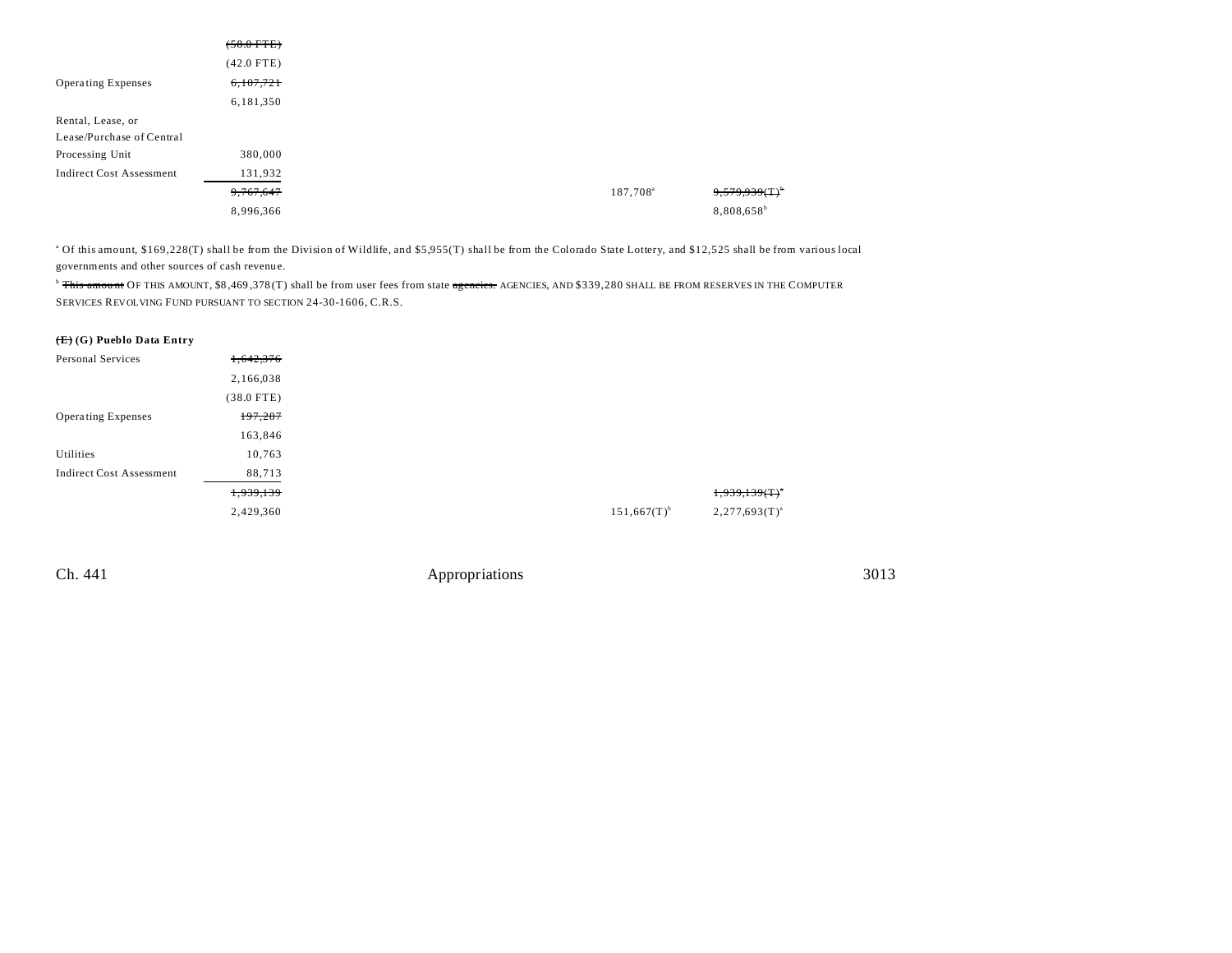|                                 | $(58.0$ FTE) |
|---------------------------------|--------------|
|                                 | $(42.0$ FTE) |
| <b>Operating Expenses</b>       | 6,107,721    |
|                                 | 6,181,350    |
| Rental, Lease, or               |              |
| Lease/Purchase of Central       |              |
| Processing Unit                 | 380,000      |
| <b>Indirect Cost Assessment</b> | 131,932      |
|                                 | 9,767,647    |
|                                 | 8,996,366    |

<sup>a</sup> Of this amount, \$169,228(T) shall be from the Division of Wildlife, and \$5,955(T) shall be from the Colorado State Lottery, and \$12,525 shall be from various local governments and other sources of cash revenu e.

<sup>b</sup> This amount OF THIS AMOUNT, \$8,469,378(T) shall be from user fees from state agencies. AGENCIES, AND \$339,280 SHALL BE FROM RESERVES IN THE COMPUTER SERVICES REVOLVING FUND PURSUANT TO SECTION 24-30-1606, C.R.S.

## **(E) (G) Pueblo Data Entry**

| Personal Services               | 1,642,376    |                           |                        |
|---------------------------------|--------------|---------------------------|------------------------|
|                                 | 2,166,038    |                           |                        |
|                                 | $(38.0$ FTE) |                           |                        |
| <b>Operating Expenses</b>       | 197,287      |                           |                        |
|                                 | 163,846      |                           |                        |
| Utilities                       | 10,763       |                           |                        |
| <b>Indirect Cost Assessment</b> | 88,713       |                           |                        |
|                                 | 1,939,139    |                           | $1,939,139($ T $)^{n}$ |
|                                 | 2,429,360    | $151,667(T)$ <sup>b</sup> | $2,277,693(T)^{a}$     |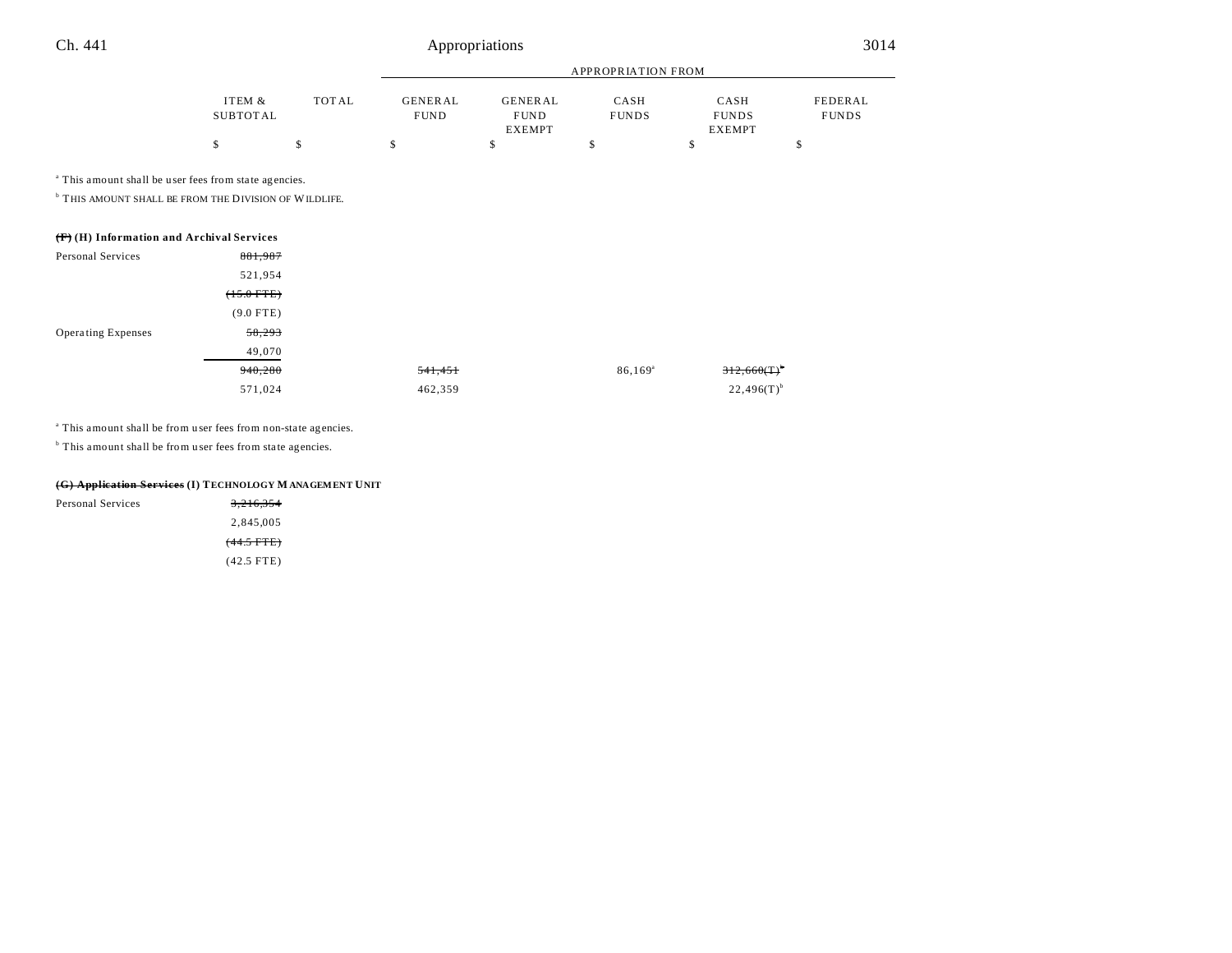|                    |       |                               |                        | APPROPRIATION FROM   |                      |                         |
|--------------------|-------|-------------------------------|------------------------|----------------------|----------------------|-------------------------|
| ITEM &<br>SUBTOTAL | TOTAL | <b>GENERAL</b><br><b>FUND</b> | GENERAL<br><b>FUND</b> | CASH<br><b>FUNDS</b> | CASH<br><b>FUNDS</b> | FEDERAL<br><b>FUNDS</b> |
|                    |       |                               | <b>EXEMPT</b>          |                      | <b>EXEMPT</b>        |                         |
|                    |       |                               |                        |                      |                      |                         |
|                    |       |                               |                        |                      |                      |                         |

<sup>a</sup> This amount shall be user fees from state agencies.

**THIS AMOUNT SHALL BE FROM THE DIVISION OF WILDLIFE.** 

|                           | $(\mathbf{F})$ (H) Information and Archival Services |         |                  |
|---------------------------|------------------------------------------------------|---------|------------------|
| Personal Services         | 881,987                                              |         |                  |
|                           | 521,954                                              |         |                  |
|                           | $(15.0$ FTE $)$                                      |         |                  |
|                           | $(9.0$ FTE)                                          |         |                  |
| <b>Operating Expenses</b> | 58,293                                               |         |                  |
|                           | 49,070                                               |         |                  |
|                           | 940,280                                              | 541,451 | $86,169^{\circ}$ |
|                           | 571,024                                              | 462,359 |                  |

<sup>a</sup> This amount shall be from user fees from non-state agencies.

<sup>b</sup> This amount shall be from user fees from state agencies.

| (G) Application Services (I) TECHNOLOGY M ANAGEMENT UNIT |                       |  |  |  |
|----------------------------------------------------------|-----------------------|--|--|--|
| Personal Services                                        | 3.216.354             |  |  |  |
|                                                          | 2.845.005             |  |  |  |
|                                                          | <del>(44.5 FTE)</del> |  |  |  |

(42.5 FTE)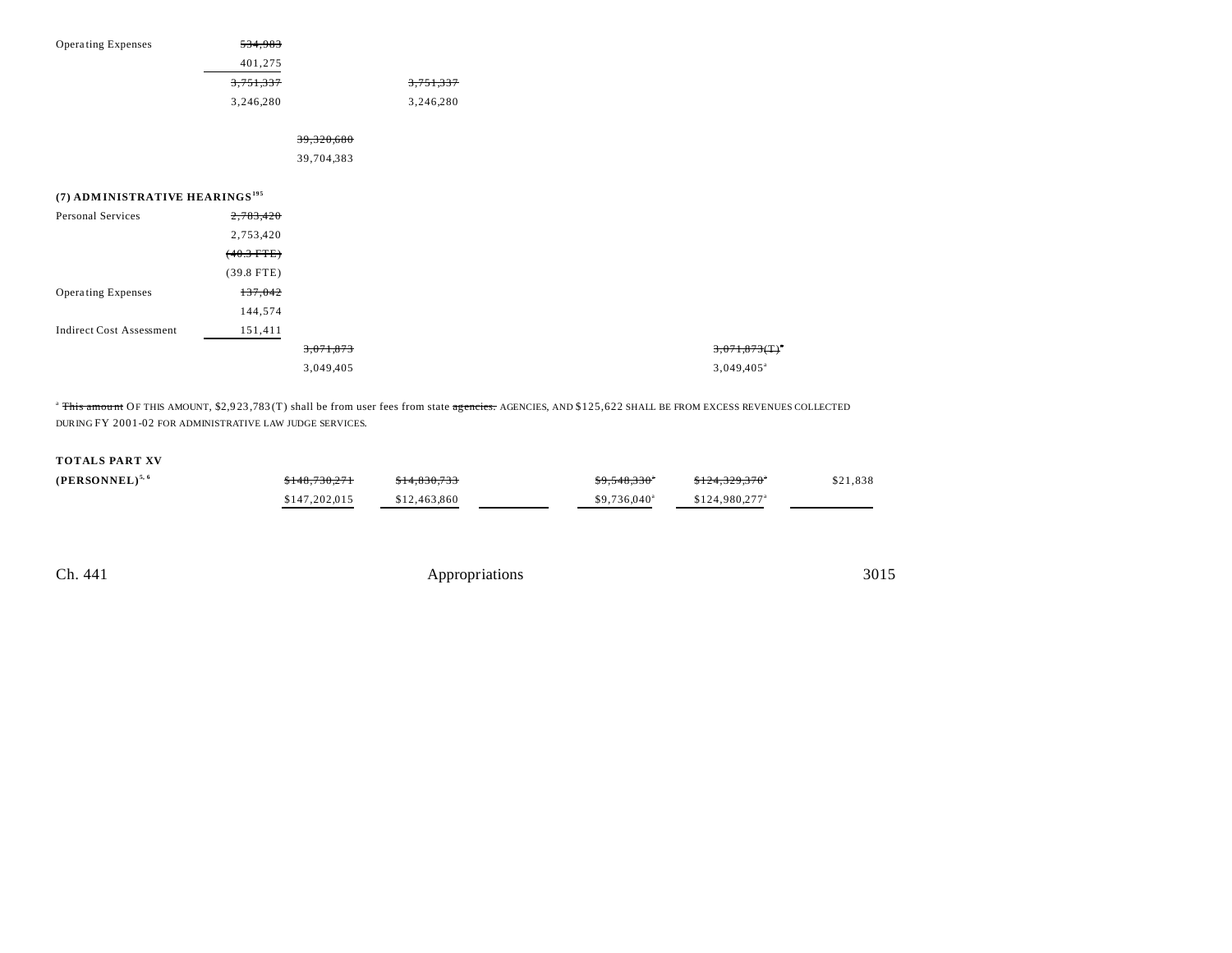| Operating Expenses                         | 534,983      |            |           |  |
|--------------------------------------------|--------------|------------|-----------|--|
|                                            | 401,275      |            |           |  |
|                                            | 3,751,337    |            | 3,751,337 |  |
|                                            | 3,246,280    |            | 3,246,280 |  |
|                                            |              | 39,320,680 |           |  |
|                                            |              | 39,704,383 |           |  |
| (7) ADMINISTRATIVE HEARINGS <sup>195</sup> |              |            |           |  |
| Personal Services                          | 2,783,420    |            |           |  |
|                                            | 2,753,420    |            |           |  |
|                                            | $(40.3$ FTE) |            |           |  |
|                                            | $(39.8$ FTE) |            |           |  |
| Operating Expenses                         | 137,042      |            |           |  |
|                                            | 144,574      |            |           |  |
| <b>Indirect Cost Assessment</b>            | 151,411      |            |           |  |
|                                            |              | 3,071,873  |           |  |
|                                            |              | 3,049,405  |           |  |
|                                            |              |            |           |  |

<sup>a</sup> This amount OF THIS AMOUNT, \$2,923,783 (T) shall be from user fees from state agencies. AGENCIES, AND \$125,622 SHALL BE FROM EXCESS REVENUES COLLECTED DURING FY 2001-02 FOR ADMINISTRATIVE LAW JUDGE SERVICES.

## **TOTALS PART XV**

| $(PERSONNEL)^{5,6}$ | \$148,730,271 | \$14,830,733 | \$9,548,330"         | <del>\$124.329.370</del> * | \$21,838 |
|---------------------|---------------|--------------|----------------------|----------------------------|----------|
|                     | \$147,202,015 | \$12,463,860 | $$9.736.040^{\circ}$ | \$124,980,277 <sup>a</sup> |          |

Ch. 441 Appropriations 3015

 $3,071,873$ (T)<sup>\*</sup> 3,049,405<sup>a</sup>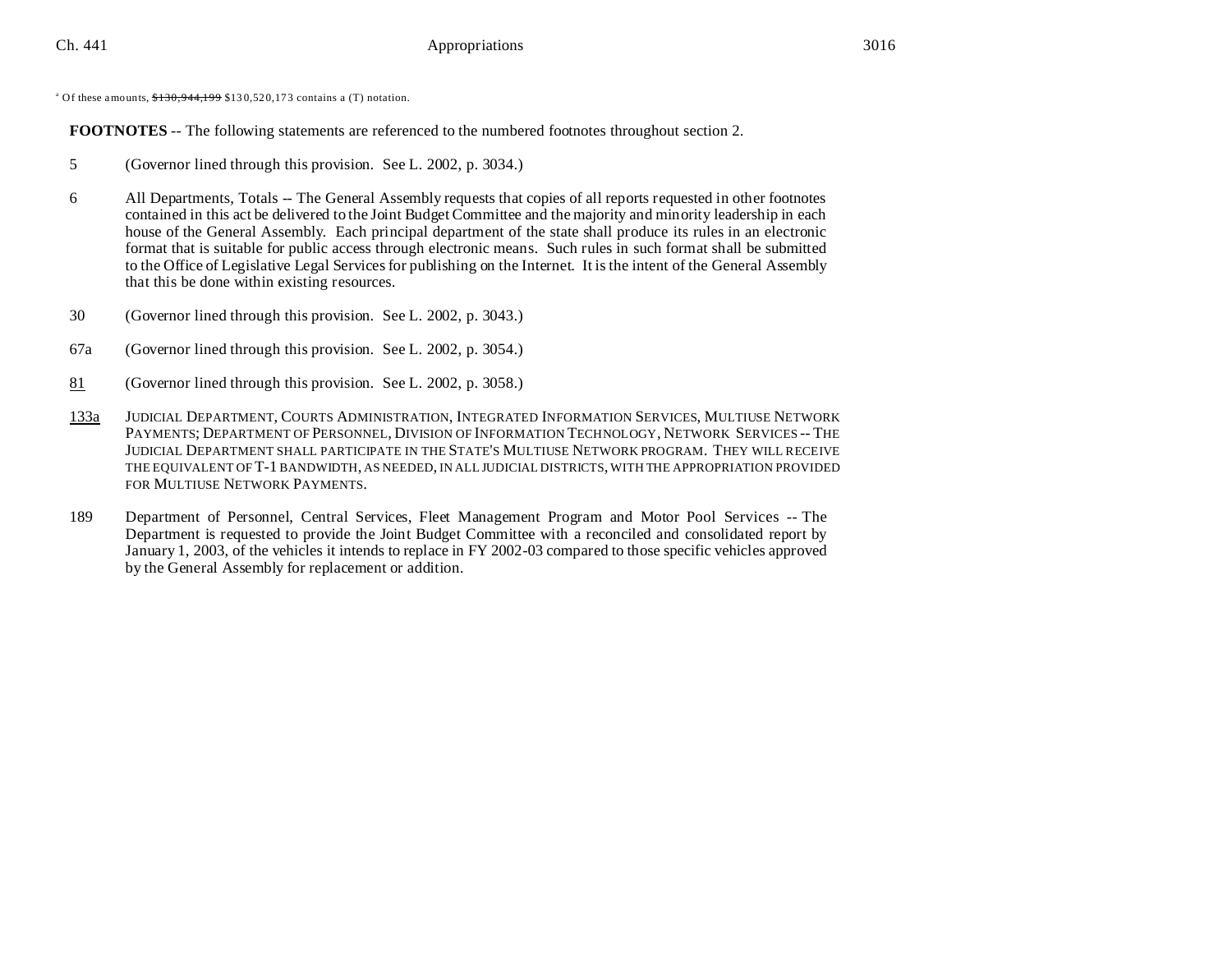<sup>a</sup> Of these amounts,  $$130,944,199$  \$130,520,173 contains a (T) notation.

**FOOTNOTES** -- The following statements are referenced to the numbered footnotes throughout section 2.

- 5 (Governor lined through this provision. See L. 2002, p. 3034.)
- 6 All Departments, Totals -- The General Assembly requests that copies of all reports requested in other footnotes contained in this act be delivered to the Joint Budget Committee and the majority and minority leadership in each house of the General Assembly. Each principal department of the state shall produce its rules in an electronic format that is suitable for public access through electronic means. Such rules in such format shall be submitted to the Office of Legislative Legal Services for publishing on the Internet. It is the intent of the General Assembly that this be done within existing resources.
- 30 (Governor lined through this provision. See L. 2002, p. 3043.)
- 67a (Governor lined through this provision. See L. 2002, p. 3054.)
- 81 (Governor lined through this provision. See L. 2002, p. 3058.)
- 133a JUDICIAL DEPARTMENT, COURTS ADMINISTRATION, INTEGRATED INFORMATION SERVICES, MULTIUSE NETWORK PAYMENTS; DEPARTMENT OF PERSONNEL, DIVISION OF INFORMATION TECHNOLOGY, NETWORK SERVICES -- THE JUDICIAL DEPARTMENT SHALL PARTICIPATE IN THE STATE'S MULTIUSE NETWORK PROGRAM. THEY WILL RECEIVE THE EQUIVALENT OF T-1 BANDWIDTH, AS NEEDED, IN ALL JUDICIAL DISTRICTS, WITH THE APPROPRIATION PROVIDED FOR MULTIUSE NETWORK PAYMENTS.
- 189 Department of Personnel, Central Services, Fleet Management Program and Motor Pool Services -- The Department is requested to provide the Joint Budget Committee with a reconciled and consolidated report by January 1, 2003, of the vehicles it intends to replace in FY 2002-03 compared to those specific vehicles approved by the General Assembly for replacement or addition.